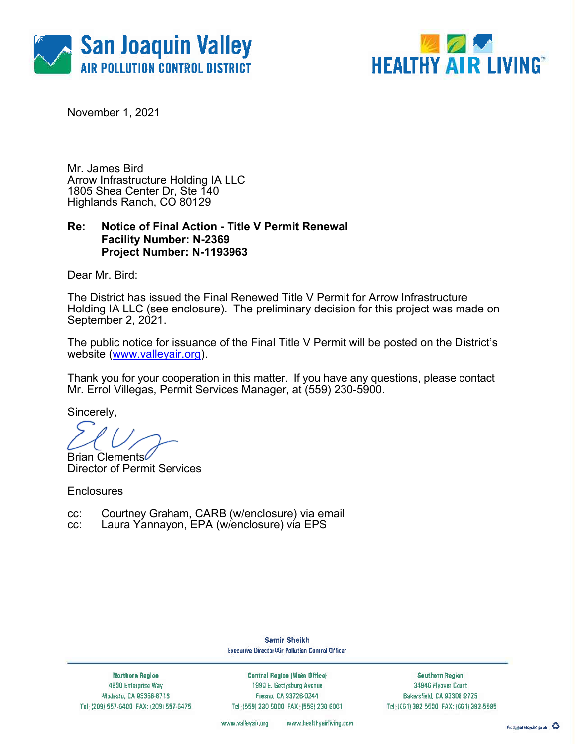



November 1, 2021

Mr. James Bird Arrow Infrastructure Holding IA LLC 1805 Shea Center Dr, Ste 140 Highlands Ranch, CO 80129

### **Re: Notice of Final Action - Title V Permit Renewal Facility Number: N-2369 Project Number: N-1193963**

Dear Mr. Bird:

The District has issued the Final Renewed Title V Permit for Arrow Infrastructure Holding IA LLC (see enclosure). The preliminary decision for this project was made on September 2, 2021.

The public notice for issuance of the Final Title V Permit will be posted on the District's website (www.valleyair.org).

Thank you for your cooperation in this matter. If you have any questions, please contact Mr. Errol Villegas, Permit Services Manager, at (559) 230-5900.

Sincerely,

Brian Clements Director of Permit Services

**Enclosures** 

- cc: Courtney Graham, CARB (w/enclosure) via email
- cc: Laura Yannayon, EPA (w/enclosure) via EPS

Samir Sheikh **Executive Director/Air Pollution Control Officer** 

**Northern Region** 4800 Enterprise Way Modesto, CA 95356-8718 Tel: (209) 557-6400 FAX: (209) 557-6475

**Central Region (Main Office)** 1990 E. Gettysburg Avenue Fresno, CA 93726-0244 Tel: (559) 230-6000 FAX: (559) 230-6061

Southern Region 34946 Flyaver Court Bakersfield, CA 93308-9725 Tel: (661) 392 5500 FAX: (661) 392 5585

www.valleyair.org www.healthyairliving.com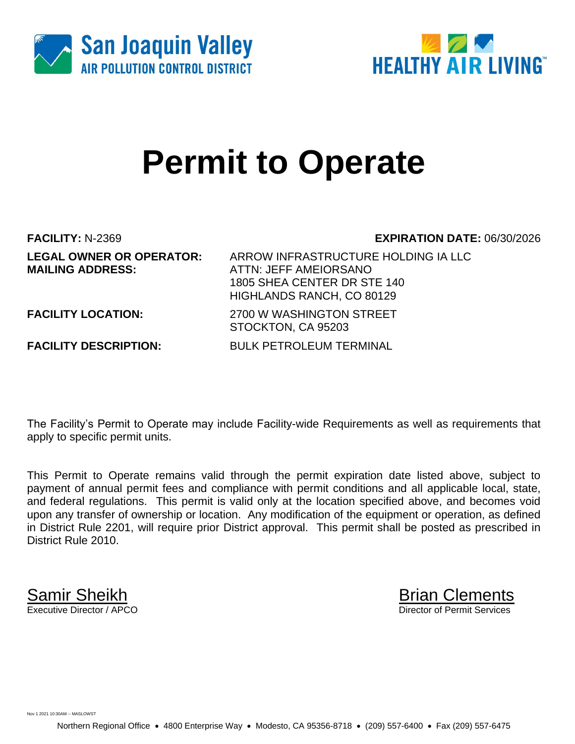



# **Permit to Operate**

**MAILING ADDRESS:** ATTN: JEFF AMEIORSANO

**FACILITY:** N-2369 **EXPIRATION DATE:** 06/30/2026

**LEGAL OWNER OR OPERATOR:** ARROW INFRASTRUCTURE HOLDING IA LLC 1805 SHEA CENTER DR STE 140 HIGHLANDS RANCH, CO 80129

**FACILITY LOCATION:** 2700 W WASHINGTON STREET

**FACILITY DESCRIPTION:** BULK PETROLEUM TERMINAL

STOCKTON, CA 95203

The Facility's Permit to Operate may include Facility-wide Requirements as well as requirements that apply to specific permit units.

This Permit to Operate remains valid through the permit expiration date listed above, subject to payment of annual permit fees and compliance with permit conditions and all applicable local, state, and federal regulations. This permit is valid only at the location specified above, and becomes void upon any transfer of ownership or location. Any modification of the equipment or operation, as defined in District Rule 2201, will require prior District approval. This permit shall be posted as prescribed in District Rule 2010.

**Samir Sheikh**<br>Executive Director / APCO

Director of Permit Services

Nov 1 2021 10:30AM -- MASLOWST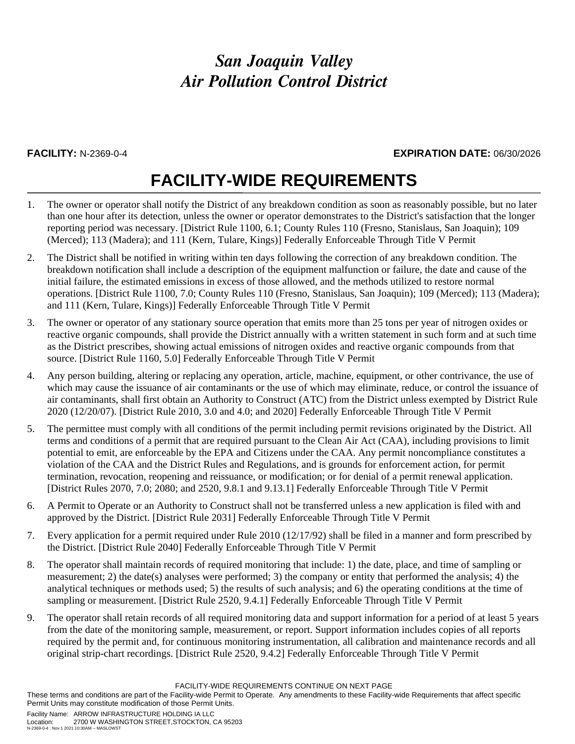### **FACILITY:** N-2369-0-4 **EXPIRATION DATE:** 06/30/2026

## **FACILITY-WIDE REQUIREMENTS**

- 1. The owner or operator shall notify the District of any breakdown condition as soon as reasonably possible, but no later than one hour after its detection, unless the owner or operator demonstrates to the District's satisfaction that the longer reporting period was necessary. [District Rule 1100, 6.1; County Rules 110 (Fresno, Stanislaus, San Joaquin); 109 (Merced); 113 (Madera); and 111 (Kern, Tulare, Kings)] Federally Enforceable Through Title V Permit
- 2. The District shall be notified in writing within ten days following the correction of any breakdown condition. The breakdown notification shall include a description of the equipment malfunction or failure, the date and cause of the initial failure, the estimated emissions in excess of those allowed, and the methods utilized to restore normal operations. [District Rule 1100, 7.0; County Rules 110 (Fresno, Stanislaus, San Joaquin); 109 (Merced); 113 (Madera); and 111 (Kern, Tulare, Kings)] Federally Enforceable Through Title V Permit
- 3. The owner or operator of any stationary source operation that emits more than 25 tons per year of nitrogen oxides or reactive organic compounds, shall provide the District annually with a written statement in such form and at such time as the District prescribes, showing actual emissions of nitrogen oxides and reactive organic compounds from that source. [District Rule 1160, 5.0] Federally Enforceable Through Title V Permit
- 4. Any person building, altering or replacing any operation, article, machine, equipment, or other contrivance, the use of which may cause the issuance of air contaminants or the use of which may eliminate, reduce, or control the issuance of air contaminants, shall first obtain an Authority to Construct (ATC) from the District unless exempted by District Rule 2020 (12/20/07). [District Rule 2010, 3.0 and 4.0; and 2020] Federally Enforceable Through Title V Permit
- 5. The permittee must comply with all conditions of the permit including permit revisions originated by the District. All terms and conditions of a permit that are required pursuant to the Clean Air Act (CAA), including provisions to limit potential to emit, are enforceable by the EPA and Citizens under the CAA. Any permit noncompliance constitutes a violation of the CAA and the District Rules and Regulations, and is grounds for enforcement action, for permit termination, revocation, reopening and reissuance, or modification; or for denial of a permit renewal application. [District Rules 2070, 7.0; 2080; and 2520, 9.8.1 and 9.13.1] Federally Enforceable Through Title V Permit
- 6. A Permit to Operate or an Authority to Construct shall not be transferred unless a new application is filed with and approved by the District. [District Rule 2031] Federally Enforceable Through Title V Permit
- 7. Every application for a permit required under Rule 2010 (12/17/92) shall be filed in a manner and form prescribed by the District. [District Rule 2040] Federally Enforceable Through Title V Permit
- 8. The operator shall maintain records of required monitoring that include: 1) the date, place, and time of sampling or measurement; 2) the date(s) analyses were performed; 3) the company or entity that performed the analysis; 4) the analytical techniques or methods used; 5) the results of such analysis; and 6) the operating conditions at the time of sampling or measurement. [District Rule 2520, 9.4.1] Federally Enforceable Through Title V Permit
- 9. The operator shall retain records of all required monitoring data and support information for a period of at least 5 years from the date of the monitoring sample, measurement, or report. Support information includes copies of all reports required by the permit and, for continuous monitoring instrumentation, all calibration and maintenance records and all original strip-chart recordings. [District Rule 2520, 9.4.2] Federally Enforceable Through Title V Permit

FACILITY-WIDE REQUIREMENTS CONTINUE ON NEXT PAGE

These terms and conditions are part of the Facility-wide Permit to Operate. Any amendments to these Facility-wide Requirements that affect specific Permit Units may constitute modification of those Permit Units.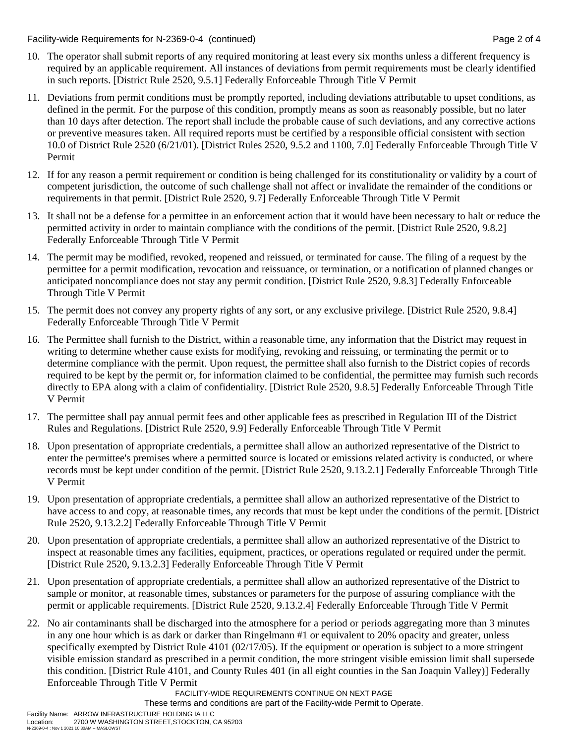Facility-wide Requirements for N-2369-0-4 (continued) Page 2 of 4

- 10. The operator shall submit reports of any required monitoring at least every six months unless a different frequency is required by an applicable requirement. All instances of deviations from permit requirements must be clearly identified in such reports. [District Rule 2520, 9.5.1] Federally Enforceable Through Title V Permit
- 11. Deviations from permit conditions must be promptly reported, including deviations attributable to upset conditions, as defined in the permit. For the purpose of this condition, promptly means as soon as reasonably possible, but no later than 10 days after detection. The report shall include the probable cause of such deviations, and any corrective actions or preventive measures taken. All required reports must be certified by a responsible official consistent with section 10.0 of District Rule 2520 (6/21/01). [District Rules 2520, 9.5.2 and 1100, 7.0] Federally Enforceable Through Title V Permit
- 12. If for any reason a permit requirement or condition is being challenged for its constitutionality or validity by a court of competent jurisdiction, the outcome of such challenge shall not affect or invalidate the remainder of the conditions or requirements in that permit. [District Rule 2520, 9.7] Federally Enforceable Through Title V Permit
- 13. It shall not be a defense for a permittee in an enforcement action that it would have been necessary to halt or reduce the permitted activity in order to maintain compliance with the conditions of the permit. [District Rule 2520, 9.8.2] Federally Enforceable Through Title V Permit
- 14. The permit may be modified, revoked, reopened and reissued, or terminated for cause. The filing of a request by the permittee for a permit modification, revocation and reissuance, or termination, or a notification of planned changes or anticipated noncompliance does not stay any permit condition. [District Rule 2520, 9.8.3] Federally Enforceable Through Title V Permit
- 15. The permit does not convey any property rights of any sort, or any exclusive privilege. [District Rule 2520, 9.8.4] Federally Enforceable Through Title V Permit
- 16. The Permittee shall furnish to the District, within a reasonable time, any information that the District may request in writing to determine whether cause exists for modifying, revoking and reissuing, or terminating the permit or to determine compliance with the permit. Upon request, the permittee shall also furnish to the District copies of records required to be kept by the permit or, for information claimed to be confidential, the permittee may furnish such records directly to EPA along with a claim of confidentiality. [District Rule 2520, 9.8.5] Federally Enforceable Through Title V Permit
- 17. The permittee shall pay annual permit fees and other applicable fees as prescribed in Regulation III of the District Rules and Regulations. [District Rule 2520, 9.9] Federally Enforceable Through Title V Permit
- 18. Upon presentation of appropriate credentials, a permittee shall allow an authorized representative of the District to enter the permittee's premises where a permitted source is located or emissions related activity is conducted, or where records must be kept under condition of the permit. [District Rule 2520, 9.13.2.1] Federally Enforceable Through Title V Permit
- 19. Upon presentation of appropriate credentials, a permittee shall allow an authorized representative of the District to have access to and copy, at reasonable times, any records that must be kept under the conditions of the permit. [District Rule 2520, 9.13.2.2] Federally Enforceable Through Title V Permit
- 20. Upon presentation of appropriate credentials, a permittee shall allow an authorized representative of the District to inspect at reasonable times any facilities, equipment, practices, or operations regulated or required under the permit. [District Rule 2520, 9.13.2.3] Federally Enforceable Through Title V Permit
- 21. Upon presentation of appropriate credentials, a permittee shall allow an authorized representative of the District to sample or monitor, at reasonable times, substances or parameters for the purpose of assuring compliance with the permit or applicable requirements. [District Rule 2520, 9.13.2.4] Federally Enforceable Through Title V Permit
- 22. No air contaminants shall be discharged into the atmosphere for a period or periods aggregating more than 3 minutes in any one hour which is as dark or darker than Ringelmann #1 or equivalent to 20% opacity and greater, unless specifically exempted by District Rule 4101 (02/17/05). If the equipment or operation is subject to a more stringent visible emission standard as prescribed in a permit condition, the more stringent visible emission limit shall supersede this condition. [District Rule 4101, and County Rules 401 (in all eight counties in the San Joaquin Valley)] Federally Enforceable Through Title V Permit

FACILITY-WIDE REQUIREMENTS CONTINUE ON NEXT PAGE

These terms and conditions are part of the Facility-wide Permit to Operate.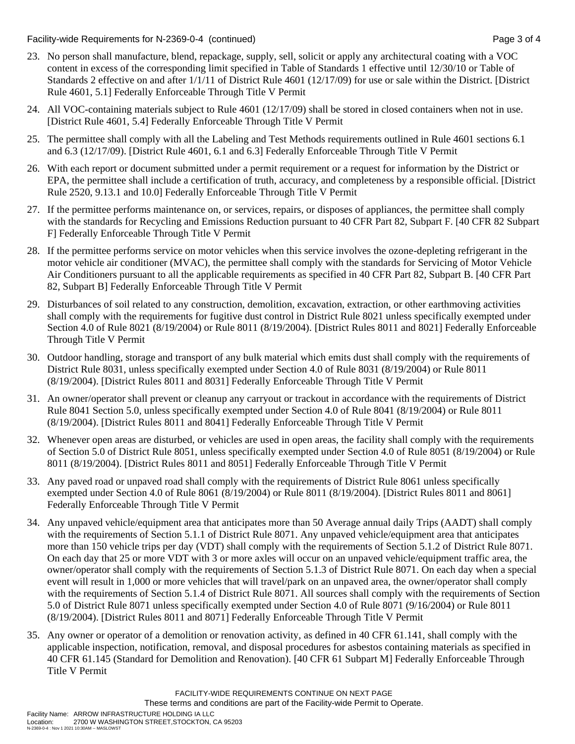Facility-wide Requirements for N-2369-0-4 (continued) Page 3 of 4

- 23. No person shall manufacture, blend, repackage, supply, sell, solicit or apply any architectural coating with a VOC content in excess of the corresponding limit specified in Table of Standards 1 effective until 12/30/10 or Table of Standards 2 effective on and after 1/1/11 of District Rule 4601 (12/17/09) for use or sale within the District. [District Rule 4601, 5.1] Federally Enforceable Through Title V Permit
- 24. All VOC-containing materials subject to Rule 4601 (12/17/09) shall be stored in closed containers when not in use. [District Rule 4601, 5.4] Federally Enforceable Through Title V Permit
- 25. The permittee shall comply with all the Labeling and Test Methods requirements outlined in Rule 4601 sections 6.1 and 6.3 (12/17/09). [District Rule 4601, 6.1 and 6.3] Federally Enforceable Through Title V Permit
- 26. With each report or document submitted under a permit requirement or a request for information by the District or EPA, the permittee shall include a certification of truth, accuracy, and completeness by a responsible official. [District Rule 2520, 9.13.1 and 10.0] Federally Enforceable Through Title V Permit
- 27. If the permittee performs maintenance on, or services, repairs, or disposes of appliances, the permittee shall comply with the standards for Recycling and Emissions Reduction pursuant to 40 CFR Part 82, Subpart F. [40 CFR 82 Subpart F] Federally Enforceable Through Title V Permit
- 28. If the permittee performs service on motor vehicles when this service involves the ozone-depleting refrigerant in the motor vehicle air conditioner (MVAC), the permittee shall comply with the standards for Servicing of Motor Vehicle Air Conditioners pursuant to all the applicable requirements as specified in 40 CFR Part 82, Subpart B. [40 CFR Part 82, Subpart B] Federally Enforceable Through Title V Permit
- 29. Disturbances of soil related to any construction, demolition, excavation, extraction, or other earthmoving activities shall comply with the requirements for fugitive dust control in District Rule 8021 unless specifically exempted under Section 4.0 of Rule 8021 (8/19/2004) or Rule 8011 (8/19/2004). [District Rules 8011 and 8021] Federally Enforceable Through Title V Permit
- 30. Outdoor handling, storage and transport of any bulk material which emits dust shall comply with the requirements of District Rule 8031, unless specifically exempted under Section 4.0 of Rule 8031 (8/19/2004) or Rule 8011 (8/19/2004). [District Rules 8011 and 8031] Federally Enforceable Through Title V Permit
- 31. An owner/operator shall prevent or cleanup any carryout or trackout in accordance with the requirements of District Rule 8041 Section 5.0, unless specifically exempted under Section 4.0 of Rule 8041 (8/19/2004) or Rule 8011 (8/19/2004). [District Rules 8011 and 8041] Federally Enforceable Through Title V Permit
- 32. Whenever open areas are disturbed, or vehicles are used in open areas, the facility shall comply with the requirements of Section 5.0 of District Rule 8051, unless specifically exempted under Section 4.0 of Rule 8051 (8/19/2004) or Rule 8011 (8/19/2004). [District Rules 8011 and 8051] Federally Enforceable Through Title V Permit
- 33. Any paved road or unpaved road shall comply with the requirements of District Rule 8061 unless specifically exempted under Section 4.0 of Rule 8061 (8/19/2004) or Rule 8011 (8/19/2004). [District Rules 8011 and 8061] Federally Enforceable Through Title V Permit
- 34. Any unpaved vehicle/equipment area that anticipates more than 50 Average annual daily Trips (AADT) shall comply with the requirements of Section 5.1.1 of District Rule 8071. Any unpaved vehicle/equipment area that anticipates more than 150 vehicle trips per day (VDT) shall comply with the requirements of Section 5.1.2 of District Rule 8071. On each day that 25 or more VDT with 3 or more axles will occur on an unpaved vehicle/equipment traffic area, the owner/operator shall comply with the requirements of Section 5.1.3 of District Rule 8071. On each day when a special event will result in 1,000 or more vehicles that will travel/park on an unpaved area, the owner/operator shall comply with the requirements of Section 5.1.4 of District Rule 8071. All sources shall comply with the requirements of Section 5.0 of District Rule 8071 unless specifically exempted under Section 4.0 of Rule 8071 (9/16/2004) or Rule 8011 (8/19/2004). [District Rules 8011 and 8071] Federally Enforceable Through Title V Permit
- 35. Any owner or operator of a demolition or renovation activity, as defined in 40 CFR 61.141, shall comply with the applicable inspection, notification, removal, and disposal procedures for asbestos containing materials as specified in 40 CFR 61.145 (Standard for Demolition and Renovation). [40 CFR 61 Subpart M] Federally Enforceable Through Title V Permit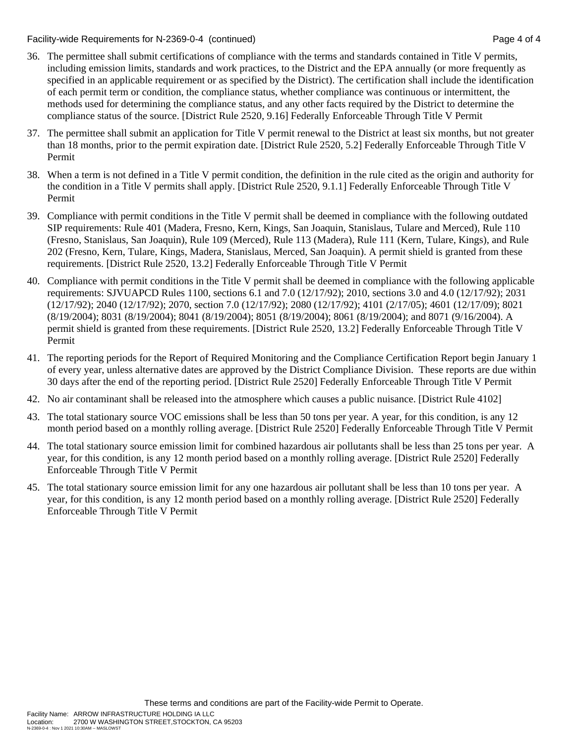Facility-wide Requirements for N-2369-0-4 (continued) Page 4 of 4

- 36. The permittee shall submit certifications of compliance with the terms and standards contained in Title V permits, including emission limits, standards and work practices, to the District and the EPA annually (or more frequently as specified in an applicable requirement or as specified by the District). The certification shall include the identification of each permit term or condition, the compliance status, whether compliance was continuous or intermittent, the methods used for determining the compliance status, and any other facts required by the District to determine the compliance status of the source. [District Rule 2520, 9.16] Federally Enforceable Through Title V Permit
- 37. The permittee shall submit an application for Title V permit renewal to the District at least six months, but not greater than 18 months, prior to the permit expiration date. [District Rule 2520, 5.2] Federally Enforceable Through Title V Permit
- 38. When a term is not defined in a Title V permit condition, the definition in the rule cited as the origin and authority for the condition in a Title V permits shall apply. [District Rule 2520, 9.1.1] Federally Enforceable Through Title V Permit
- 39. Compliance with permit conditions in the Title V permit shall be deemed in compliance with the following outdated SIP requirements: Rule 401 (Madera, Fresno, Kern, Kings, San Joaquin, Stanislaus, Tulare and Merced), Rule 110 (Fresno, Stanislaus, San Joaquin), Rule 109 (Merced), Rule 113 (Madera), Rule 111 (Kern, Tulare, Kings), and Rule 202 (Fresno, Kern, Tulare, Kings, Madera, Stanislaus, Merced, San Joaquin). A permit shield is granted from these requirements. [District Rule 2520, 13.2] Federally Enforceable Through Title V Permit
- 40. Compliance with permit conditions in the Title V permit shall be deemed in compliance with the following applicable requirements: SJVUAPCD Rules 1100, sections 6.1 and 7.0 (12/17/92); 2010, sections 3.0 and 4.0 (12/17/92); 2031 (12/17/92); 2040 (12/17/92); 2070, section 7.0 (12/17/92); 2080 (12/17/92); 4101 (2/17/05); 4601 (12/17/09); 8021 (8/19/2004); 8031 (8/19/2004); 8041 (8/19/2004); 8051 (8/19/2004); 8061 (8/19/2004); and 8071 (9/16/2004). A permit shield is granted from these requirements. [District Rule 2520, 13.2] Federally Enforceable Through Title V Permit
- 41. The reporting periods for the Report of Required Monitoring and the Compliance Certification Report begin January 1 of every year, unless alternative dates are approved by the District Compliance Division. These reports are due within 30 days after the end of the reporting period. [District Rule 2520] Federally Enforceable Through Title V Permit
- 42. No air contaminant shall be released into the atmosphere which causes a public nuisance. [District Rule 4102]
- 43. The total stationary source VOC emissions shall be less than 50 tons per year. A year, for this condition, is any 12 month period based on a monthly rolling average. [District Rule 2520] Federally Enforceable Through Title V Permit
- 44. The total stationary source emission limit for combined hazardous air pollutants shall be less than 25 tons per year. A year, for this condition, is any 12 month period based on a monthly rolling average. [District Rule 2520] Federally Enforceable Through Title V Permit
- 45. The total stationary source emission limit for any one hazardous air pollutant shall be less than 10 tons per year. A year, for this condition, is any 12 month period based on a monthly rolling average. [District Rule 2520] Federally Enforceable Through Title V Permit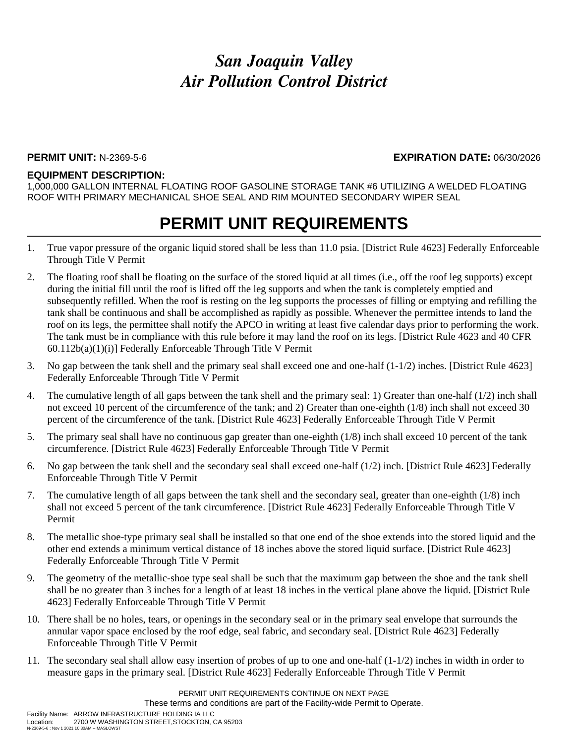#### **PERMIT UNIT:** N-2369-5-6 **EXPIRATION DATE:** 06/30/2026

#### **EQUIPMENT DESCRIPTION:**

1,000,000 GALLON INTERNAL FLOATING ROOF GASOLINE STORAGE TANK #6 UTILIZING A WELDED FLOATING ROOF WITH PRIMARY MECHANICAL SHOE SEAL AND RIM MOUNTED SECONDARY WIPER SEAL

- 1. True vapor pressure of the organic liquid stored shall be less than 11.0 psia. [District Rule 4623] Federally Enforceable Through Title V Permit
- 2. The floating roof shall be floating on the surface of the stored liquid at all times (i.e., off the roof leg supports) except during the initial fill until the roof is lifted off the leg supports and when the tank is completely emptied and subsequently refilled. When the roof is resting on the leg supports the processes of filling or emptying and refilling the tank shall be continuous and shall be accomplished as rapidly as possible. Whenever the permittee intends to land the roof on its legs, the permittee shall notify the APCO in writing at least five calendar days prior to performing the work. The tank must be in compliance with this rule before it may land the roof on its legs. [District Rule 4623 and 40 CFR 60.112b(a)(1)(i)] Federally Enforceable Through Title V Permit
- 3. No gap between the tank shell and the primary seal shall exceed one and one-half (1-1/2) inches. [District Rule 4623] Federally Enforceable Through Title V Permit
- 4. The cumulative length of all gaps between the tank shell and the primary seal: 1) Greater than one-half (1/2) inch shall not exceed 10 percent of the circumference of the tank; and 2) Greater than one-eighth (1/8) inch shall not exceed 30 percent of the circumference of the tank. [District Rule 4623] Federally Enforceable Through Title V Permit
- 5. The primary seal shall have no continuous gap greater than one-eighth (1/8) inch shall exceed 10 percent of the tank circumference. [District Rule 4623] Federally Enforceable Through Title V Permit
- 6. No gap between the tank shell and the secondary seal shall exceed one-half (1/2) inch. [District Rule 4623] Federally Enforceable Through Title V Permit
- 7. The cumulative length of all gaps between the tank shell and the secondary seal, greater than one-eighth (1/8) inch shall not exceed 5 percent of the tank circumference. [District Rule 4623] Federally Enforceable Through Title V Permit
- 8. The metallic shoe-type primary seal shall be installed so that one end of the shoe extends into the stored liquid and the other end extends a minimum vertical distance of 18 inches above the stored liquid surface. [District Rule 4623] Federally Enforceable Through Title V Permit
- 9. The geometry of the metallic-shoe type seal shall be such that the maximum gap between the shoe and the tank shell shall be no greater than 3 inches for a length of at least 18 inches in the vertical plane above the liquid. [District Rule 4623] Federally Enforceable Through Title V Permit
- 10. There shall be no holes, tears, or openings in the secondary seal or in the primary seal envelope that surrounds the annular vapor space enclosed by the roof edge, seal fabric, and secondary seal. [District Rule 4623] Federally Enforceable Through Title V Permit
- 11. The secondary seal shall allow easy insertion of probes of up to one and one-half (1-1/2) inches in width in order to measure gaps in the primary seal. [District Rule 4623] Federally Enforceable Through Title V Permit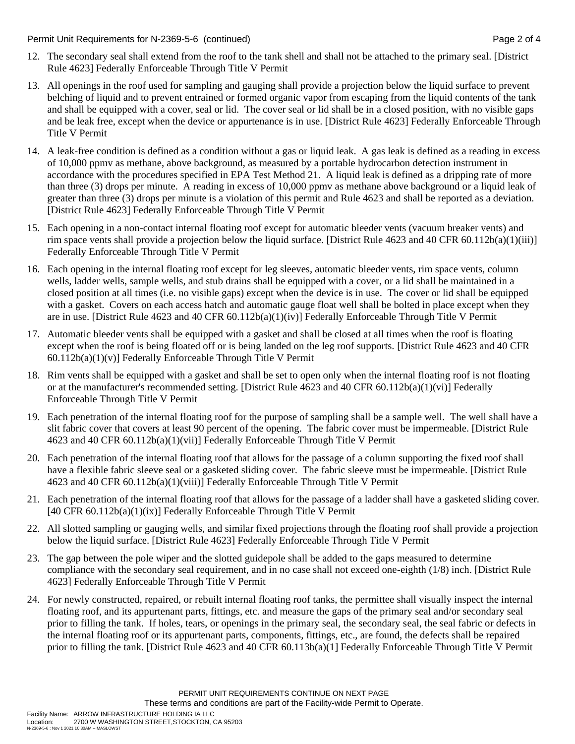Permit Unit Requirements for N-2369-5-6 (continued) Page 2 of 4

- 12. The secondary seal shall extend from the roof to the tank shell and shall not be attached to the primary seal. [District Rule 4623] Federally Enforceable Through Title V Permit
- 13. All openings in the roof used for sampling and gauging shall provide a projection below the liquid surface to prevent belching of liquid and to prevent entrained or formed organic vapor from escaping from the liquid contents of the tank and shall be equipped with a cover, seal or lid. The cover seal or lid shall be in a closed position, with no visible gaps and be leak free, except when the device or appurtenance is in use. [District Rule 4623] Federally Enforceable Through Title V Permit
- 14. A leak-free condition is defined as a condition without a gas or liquid leak. A gas leak is defined as a reading in excess of 10,000 ppmv as methane, above background, as measured by a portable hydrocarbon detection instrument in accordance with the procedures specified in EPA Test Method 21. A liquid leak is defined as a dripping rate of more than three (3) drops per minute. A reading in excess of 10,000 ppmv as methane above background or a liquid leak of greater than three (3) drops per minute is a violation of this permit and Rule 4623 and shall be reported as a deviation. [District Rule 4623] Federally Enforceable Through Title V Permit
- 15. Each opening in a non-contact internal floating roof except for automatic bleeder vents (vacuum breaker vents) and rim space vents shall provide a projection below the liquid surface. [District Rule 4623 and 40 CFR 60.112b(a)(1)(iii)] Federally Enforceable Through Title V Permit
- 16. Each opening in the internal floating roof except for leg sleeves, automatic bleeder vents, rim space vents, column wells, ladder wells, sample wells, and stub drains shall be equipped with a cover, or a lid shall be maintained in a closed position at all times (i.e. no visible gaps) except when the device is in use. The cover or lid shall be equipped with a gasket. Covers on each access hatch and automatic gauge float well shall be bolted in place except when they are in use. [District Rule 4623 and 40 CFR 60.112b(a)(1)(iv)] Federally Enforceable Through Title V Permit
- 17. Automatic bleeder vents shall be equipped with a gasket and shall be closed at all times when the roof is floating except when the roof is being floated off or is being landed on the leg roof supports. [District Rule 4623 and 40 CFR  $60.112b(a)(1)(v)$ ] Federally Enforceable Through Title V Permit
- 18. Rim vents shall be equipped with a gasket and shall be set to open only when the internal floating roof is not floating or at the manufacturer's recommended setting. [District Rule 4623 and 40 CFR 60.112b(a)(1)(vi)] Federally Enforceable Through Title V Permit
- 19. Each penetration of the internal floating roof for the purpose of sampling shall be a sample well. The well shall have a slit fabric cover that covers at least 90 percent of the opening. The fabric cover must be impermeable. [District Rule 4623 and 40 CFR 60.112b(a)(1)(vii)] Federally Enforceable Through Title V Permit
- 20. Each penetration of the internal floating roof that allows for the passage of a column supporting the fixed roof shall have a flexible fabric sleeve seal or a gasketed sliding cover. The fabric sleeve must be impermeable. [District Rule 4623 and 40 CFR 60.112b(a)(1)(viii)] Federally Enforceable Through Title V Permit
- 21. Each penetration of the internal floating roof that allows for the passage of a ladder shall have a gasketed sliding cover.  $[40 \text{ CFR } 60.112b(a)(1)(ix)]$  Federally Enforceable Through Title V Permit
- 22. All slotted sampling or gauging wells, and similar fixed projections through the floating roof shall provide a projection below the liquid surface. [District Rule 4623] Federally Enforceable Through Title V Permit
- 23. The gap between the pole wiper and the slotted guidepole shall be added to the gaps measured to determine compliance with the secondary seal requirement, and in no case shall not exceed one-eighth (1/8) inch. [District Rule 4623] Federally Enforceable Through Title V Permit
- 24. For newly constructed, repaired, or rebuilt internal floating roof tanks, the permittee shall visually inspect the internal floating roof, and its appurtenant parts, fittings, etc. and measure the gaps of the primary seal and/or secondary seal prior to filling the tank. If holes, tears, or openings in the primary seal, the secondary seal, the seal fabric or defects in the internal floating roof or its appurtenant parts, components, fittings, etc., are found, the defects shall be repaired prior to filling the tank. [District Rule 4623 and 40 CFR 60.113b(a)(1] Federally Enforceable Through Title V Permit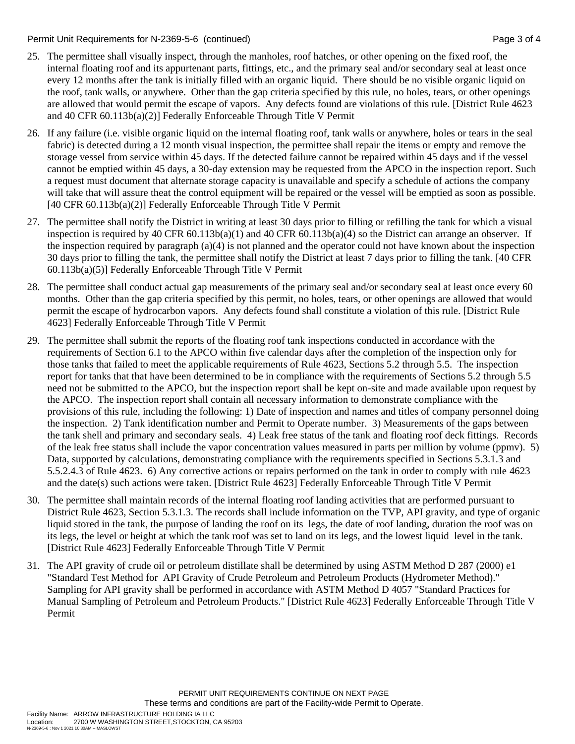#### Permit Unit Requirements for N-2369-5-6 (continued) Page 3 of 4

- 25. The permittee shall visually inspect, through the manholes, roof hatches, or other opening on the fixed roof, the internal floating roof and its appurtenant parts, fittings, etc., and the primary seal and/or secondary seal at least once every 12 months after the tank is initially filled with an organic liquid. There should be no visible organic liquid on the roof, tank walls, or anywhere. Other than the gap criteria specified by this rule, no holes, tears, or other openings are allowed that would permit the escape of vapors. Any defects found are violations of this rule. [District Rule 4623 and 40 CFR 60.113b(a)(2)] Federally Enforceable Through Title V Permit
- 26. If any failure (i.e. visible organic liquid on the internal floating roof, tank walls or anywhere, holes or tears in the seal fabric) is detected during a 12 month visual inspection, the permittee shall repair the items or empty and remove the storage vessel from service within 45 days. If the detected failure cannot be repaired within 45 days and if the vessel cannot be emptied within 45 days, a 30-day extension may be requested from the APCO in the inspection report. Such a request must document that alternate storage capacity is unavailable and specify a schedule of actions the company will take that will assure theat the control equipment will be repaired or the vessel will be emptied as soon as possible. [40 CFR 60.113b(a)(2)] Federally Enforceable Through Title V Permit
- 27. The permittee shall notify the District in writing at least 30 days prior to filling or refilling the tank for which a visual inspection is required by 40 CFR 60.113b(a)(1) and 40 CFR 60.113b(a)(4) so the District can arrange an observer. If the inspection required by paragraph (a)(4) is not planned and the operator could not have known about the inspection 30 days prior to filling the tank, the permittee shall notify the District at least 7 days prior to filling the tank. [40 CFR 60.113b(a)(5)] Federally Enforceable Through Title V Permit
- 28. The permittee shall conduct actual gap measurements of the primary seal and/or secondary seal at least once every 60 months. Other than the gap criteria specified by this permit, no holes, tears, or other openings are allowed that would permit the escape of hydrocarbon vapors. Any defects found shall constitute a violation of this rule. [District Rule 4623] Federally Enforceable Through Title V Permit
- 29. The permittee shall submit the reports of the floating roof tank inspections conducted in accordance with the requirements of Section 6.1 to the APCO within five calendar days after the completion of the inspection only for those tanks that failed to meet the applicable requirements of Rule 4623, Sections 5.2 through 5.5. The inspection report for tanks that that have been determined to be in compliance with the requirements of Sections 5.2 through 5.5 need not be submitted to the APCO, but the inspection report shall be kept on-site and made available upon request by the APCO. The inspection report shall contain all necessary information to demonstrate compliance with the provisions of this rule, including the following: 1) Date of inspection and names and titles of company personnel doing the inspection. 2) Tank identification number and Permit to Operate number. 3) Measurements of the gaps between the tank shell and primary and secondary seals. 4) Leak free status of the tank and floating roof deck fittings. Records of the leak free status shall include the vapor concentration values measured in parts per million by volume (ppmv). 5) Data, supported by calculations, demonstrating compliance with the requirements specified in Sections 5.3.1.3 and 5.5.2.4.3 of Rule 4623. 6) Any corrective actions or repairs performed on the tank in order to comply with rule 4623 and the date(s) such actions were taken. [District Rule 4623] Federally Enforceable Through Title V Permit
- 30. The permittee shall maintain records of the internal floating roof landing activities that are performed pursuant to District Rule 4623, Section 5.3.1.3. The records shall include information on the TVP, API gravity, and type of organic liquid stored in the tank, the purpose of landing the roof on its legs, the date of roof landing, duration the roof was on its legs, the level or height at which the tank roof was set to land on its legs, and the lowest liquid level in the tank. [District Rule 4623] Federally Enforceable Through Title V Permit
- 31. The API gravity of crude oil or petroleum distillate shall be determined by using ASTM Method D 287 (2000) e1 "Standard Test Method for API Gravity of Crude Petroleum and Petroleum Products (Hydrometer Method)." Sampling for API gravity shall be performed in accordance with ASTM Method D 4057 "Standard Practices for Manual Sampling of Petroleum and Petroleum Products." [District Rule 4623] Federally Enforceable Through Title V Permit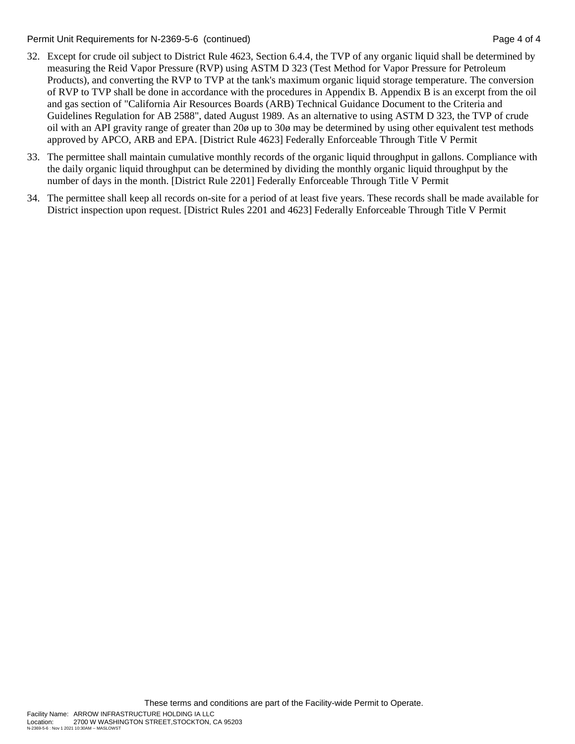Permit Unit Requirements for N-2369-5-6 (continued) Page 4 of 4

- 32. Except for crude oil subject to District Rule 4623, Section 6.4.4, the TVP of any organic liquid shall be determined by measuring the Reid Vapor Pressure (RVP) using ASTM D 323 (Test Method for Vapor Pressure for Petroleum Products), and converting the RVP to TVP at the tank's maximum organic liquid storage temperature. The conversion of RVP to TVP shall be done in accordance with the procedures in Appendix B. Appendix B is an excerpt from the oil and gas section of "California Air Resources Boards (ARB) Technical Guidance Document to the Criteria and Guidelines Regulation for AB 2588", dated August 1989. As an alternative to using ASTM D 323, the TVP of crude oil with an API gravity range of greater than 20ø up to 30ø may be determined by using other equivalent test methods approved by APCO, ARB and EPA. [District Rule 4623] Federally Enforceable Through Title V Permit
- 33. The permittee shall maintain cumulative monthly records of the organic liquid throughput in gallons. Compliance with the daily organic liquid throughput can be determined by dividing the monthly organic liquid throughput by the number of days in the month. [District Rule 2201] Federally Enforceable Through Title V Permit
- 34. The permittee shall keep all records on-site for a period of at least five years. These records shall be made available for District inspection upon request. [District Rules 2201 and 4623] Federally Enforceable Through Title V Permit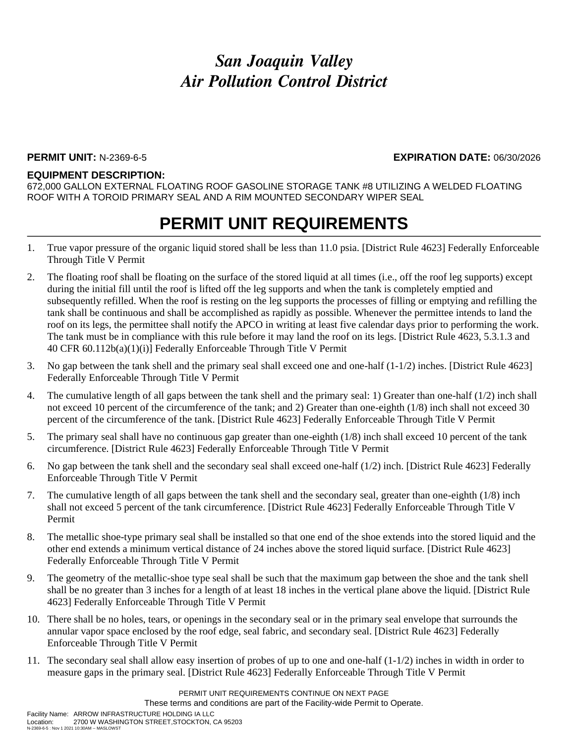#### **PERMIT UNIT:** N-2369-6-5 **EXPIRATION DATE:** 06/30/2026

#### **EQUIPMENT DESCRIPTION:**

672,000 GALLON EXTERNAL FLOATING ROOF GASOLINE STORAGE TANK #8 UTILIZING A WELDED FLOATING ROOF WITH A TOROID PRIMARY SEAL AND A RIM MOUNTED SECONDARY WIPER SEAL

- 1. True vapor pressure of the organic liquid stored shall be less than 11.0 psia. [District Rule 4623] Federally Enforceable Through Title V Permit
- 2. The floating roof shall be floating on the surface of the stored liquid at all times (i.e., off the roof leg supports) except during the initial fill until the roof is lifted off the leg supports and when the tank is completely emptied and subsequently refilled. When the roof is resting on the leg supports the processes of filling or emptying and refilling the tank shall be continuous and shall be accomplished as rapidly as possible. Whenever the permittee intends to land the roof on its legs, the permittee shall notify the APCO in writing at least five calendar days prior to performing the work. The tank must be in compliance with this rule before it may land the roof on its legs. [District Rule 4623, 5.3.1.3 and 40 CFR 60.112b(a)(1)(i)] Federally Enforceable Through Title V Permit
- 3. No gap between the tank shell and the primary seal shall exceed one and one-half (1-1/2) inches. [District Rule 4623] Federally Enforceable Through Title V Permit
- 4. The cumulative length of all gaps between the tank shell and the primary seal: 1) Greater than one-half (1/2) inch shall not exceed 10 percent of the circumference of the tank; and 2) Greater than one-eighth (1/8) inch shall not exceed 30 percent of the circumference of the tank. [District Rule 4623] Federally Enforceable Through Title V Permit
- 5. The primary seal shall have no continuous gap greater than one-eighth (1/8) inch shall exceed 10 percent of the tank circumference. [District Rule 4623] Federally Enforceable Through Title V Permit
- 6. No gap between the tank shell and the secondary seal shall exceed one-half (1/2) inch. [District Rule 4623] Federally Enforceable Through Title V Permit
- 7. The cumulative length of all gaps between the tank shell and the secondary seal, greater than one-eighth (1/8) inch shall not exceed 5 percent of the tank circumference. [District Rule 4623] Federally Enforceable Through Title V Permit
- 8. The metallic shoe-type primary seal shall be installed so that one end of the shoe extends into the stored liquid and the other end extends a minimum vertical distance of 24 inches above the stored liquid surface. [District Rule 4623] Federally Enforceable Through Title V Permit
- 9. The geometry of the metallic-shoe type seal shall be such that the maximum gap between the shoe and the tank shell shall be no greater than 3 inches for a length of at least 18 inches in the vertical plane above the liquid. [District Rule 4623] Federally Enforceable Through Title V Permit
- 10. There shall be no holes, tears, or openings in the secondary seal or in the primary seal envelope that surrounds the annular vapor space enclosed by the roof edge, seal fabric, and secondary seal. [District Rule 4623] Federally Enforceable Through Title V Permit
- 11. The secondary seal shall allow easy insertion of probes of up to one and one-half (1-1/2) inches in width in order to measure gaps in the primary seal. [District Rule 4623] Federally Enforceable Through Title V Permit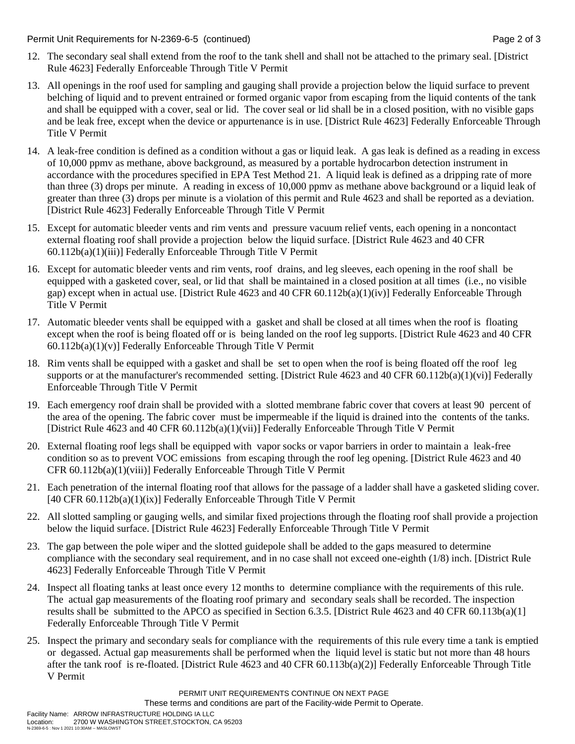Permit Unit Requirements for N-2369-6-5 (continued) Page 2 of 3

- 12. The secondary seal shall extend from the roof to the tank shell and shall not be attached to the primary seal. [District Rule 4623] Federally Enforceable Through Title V Permit
- 13. All openings in the roof used for sampling and gauging shall provide a projection below the liquid surface to prevent belching of liquid and to prevent entrained or formed organic vapor from escaping from the liquid contents of the tank and shall be equipped with a cover, seal or lid. The cover seal or lid shall be in a closed position, with no visible gaps and be leak free, except when the device or appurtenance is in use. [District Rule 4623] Federally Enforceable Through Title V Permit
- 14. A leak-free condition is defined as a condition without a gas or liquid leak. A gas leak is defined as a reading in excess of 10,000 ppmv as methane, above background, as measured by a portable hydrocarbon detection instrument in accordance with the procedures specified in EPA Test Method 21. A liquid leak is defined as a dripping rate of more than three (3) drops per minute. A reading in excess of 10,000 ppmv as methane above background or a liquid leak of greater than three (3) drops per minute is a violation of this permit and Rule 4623 and shall be reported as a deviation. [District Rule 4623] Federally Enforceable Through Title V Permit
- 15. Except for automatic bleeder vents and rim vents and pressure vacuum relief vents, each opening in a noncontact external floating roof shall provide a projection below the liquid surface. [District Rule 4623 and 40 CFR 60.112b(a)(1)(iii)] Federally Enforceable Through Title V Permit
- 16. Except for automatic bleeder vents and rim vents, roof drains, and leg sleeves, each opening in the roof shall be equipped with a gasketed cover, seal, or lid that shall be maintained in a closed position at all times (i.e., no visible gap) except when in actual use. [District Rule 4623 and 40 CFR 60.112b(a)(1)(iv)] Federally Enforceable Through Title V Permit
- 17. Automatic bleeder vents shall be equipped with a gasket and shall be closed at all times when the roof is floating except when the roof is being floated off or is being landed on the roof leg supports. [District Rule 4623 and 40 CFR 60.112b(a)(1)(v)] Federally Enforceable Through Title V Permit
- 18. Rim vents shall be equipped with a gasket and shall be set to open when the roof is being floated off the roof leg supports or at the manufacturer's recommended setting. [District Rule 4623 and 40 CFR 60.112b(a)(1)(vi)] Federally Enforceable Through Title V Permit
- 19. Each emergency roof drain shall be provided with a slotted membrane fabric cover that covers at least 90 percent of the area of the opening. The fabric cover must be impermeable if the liquid is drained into the contents of the tanks. [District Rule 4623 and 40 CFR 60.112b(a)(1)(vii)] Federally Enforceable Through Title V Permit
- 20. External floating roof legs shall be equipped with vapor socks or vapor barriers in order to maintain a leak-free condition so as to prevent VOC emissions from escaping through the roof leg opening. [District Rule 4623 and 40 CFR 60.112b(a)(1)(viii)] Federally Enforceable Through Title V Permit
- 21. Each penetration of the internal floating roof that allows for the passage of a ladder shall have a gasketed sliding cover.  $[40 \text{ CFR } 60.112b(a)(1)(ix)]$  Federally Enforceable Through Title V Permit
- 22. All slotted sampling or gauging wells, and similar fixed projections through the floating roof shall provide a projection below the liquid surface. [District Rule 4623] Federally Enforceable Through Title V Permit
- 23. The gap between the pole wiper and the slotted guidepole shall be added to the gaps measured to determine compliance with the secondary seal requirement, and in no case shall not exceed one-eighth (1/8) inch. [District Rule 4623] Federally Enforceable Through Title V Permit
- 24. Inspect all floating tanks at least once every 12 months to determine compliance with the requirements of this rule. The actual gap measurements of the floating roof primary and secondary seals shall be recorded. The inspection results shall be submitted to the APCO as specified in Section 6.3.5. [District Rule 4623 and 40 CFR 60.113b(a)(1] Federally Enforceable Through Title V Permit
- 25. Inspect the primary and secondary seals for compliance with the requirements of this rule every time a tank is emptied or degassed. Actual gap measurements shall be performed when the liquid level is static but not more than 48 hours after the tank roof is re-floated. [District Rule 4623 and 40 CFR 60.113b(a)(2)] Federally Enforceable Through Title V Permit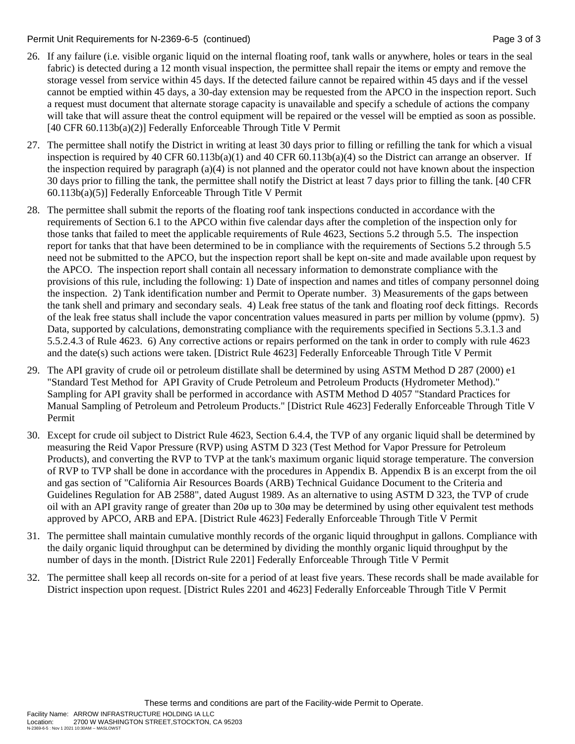#### Permit Unit Requirements for N-2369-6-5 (continued) Page 3 of 3

- 26. If any failure (i.e. visible organic liquid on the internal floating roof, tank walls or anywhere, holes or tears in the seal fabric) is detected during a 12 month visual inspection, the permittee shall repair the items or empty and remove the storage vessel from service within 45 days. If the detected failure cannot be repaired within 45 days and if the vessel cannot be emptied within 45 days, a 30-day extension may be requested from the APCO in the inspection report. Such a request must document that alternate storage capacity is unavailable and specify a schedule of actions the company will take that will assure theat the control equipment will be repaired or the vessel will be emptied as soon as possible. [40 CFR 60.113b(a)(2)] Federally Enforceable Through Title V Permit
- 27. The permittee shall notify the District in writing at least 30 days prior to filling or refilling the tank for which a visual inspection is required by 40 CFR  $60.113b(a)(1)$  and 40 CFR  $60.113b(a)(4)$  so the District can arrange an observer. If the inspection required by paragraph (a)(4) is not planned and the operator could not have known about the inspection 30 days prior to filling the tank, the permittee shall notify the District at least 7 days prior to filling the tank. [40 CFR 60.113b(a)(5)] Federally Enforceable Through Title V Permit
- 28. The permittee shall submit the reports of the floating roof tank inspections conducted in accordance with the requirements of Section 6.1 to the APCO within five calendar days after the completion of the inspection only for those tanks that failed to meet the applicable requirements of Rule 4623, Sections 5.2 through 5.5. The inspection report for tanks that that have been determined to be in compliance with the requirements of Sections 5.2 through 5.5 need not be submitted to the APCO, but the inspection report shall be kept on-site and made available upon request by the APCO. The inspection report shall contain all necessary information to demonstrate compliance with the provisions of this rule, including the following: 1) Date of inspection and names and titles of company personnel doing the inspection. 2) Tank identification number and Permit to Operate number. 3) Measurements of the gaps between the tank shell and primary and secondary seals. 4) Leak free status of the tank and floating roof deck fittings. Records of the leak free status shall include the vapor concentration values measured in parts per million by volume (ppmv). 5) Data, supported by calculations, demonstrating compliance with the requirements specified in Sections 5.3.1.3 and 5.5.2.4.3 of Rule 4623. 6) Any corrective actions or repairs performed on the tank in order to comply with rule 4623 and the date(s) such actions were taken. [District Rule 4623] Federally Enforceable Through Title V Permit
- 29. The API gravity of crude oil or petroleum distillate shall be determined by using ASTM Method D 287 (2000) e1 "Standard Test Method for API Gravity of Crude Petroleum and Petroleum Products (Hydrometer Method)." Sampling for API gravity shall be performed in accordance with ASTM Method D 4057 "Standard Practices for Manual Sampling of Petroleum and Petroleum Products." [District Rule 4623] Federally Enforceable Through Title V Permit
- 30. Except for crude oil subject to District Rule 4623, Section 6.4.4, the TVP of any organic liquid shall be determined by measuring the Reid Vapor Pressure (RVP) using ASTM D 323 (Test Method for Vapor Pressure for Petroleum Products), and converting the RVP to TVP at the tank's maximum organic liquid storage temperature. The conversion of RVP to TVP shall be done in accordance with the procedures in Appendix B. Appendix B is an excerpt from the oil and gas section of "California Air Resources Boards (ARB) Technical Guidance Document to the Criteria and Guidelines Regulation for AB 2588", dated August 1989. As an alternative to using ASTM D 323, the TVP of crude oil with an API gravity range of greater than 20ø up to 30ø may be determined by using other equivalent test methods approved by APCO, ARB and EPA. [District Rule 4623] Federally Enforceable Through Title V Permit
- 31. The permittee shall maintain cumulative monthly records of the organic liquid throughput in gallons. Compliance with the daily organic liquid throughput can be determined by dividing the monthly organic liquid throughput by the number of days in the month. [District Rule 2201] Federally Enforceable Through Title V Permit
- 32. The permittee shall keep all records on-site for a period of at least five years. These records shall be made available for District inspection upon request. [District Rules 2201 and 4623] Federally Enforceable Through Title V Permit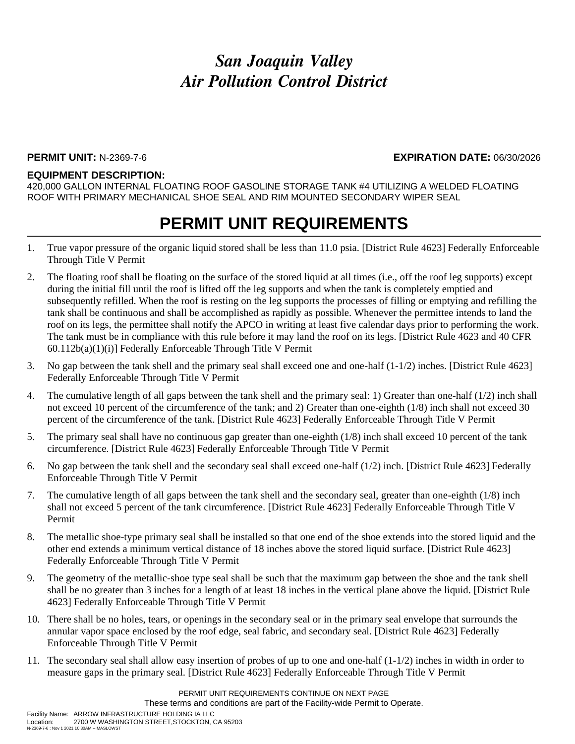#### **PERMIT UNIT:** N-2369-7-6 **EXPIRATION DATE:** 06/30/2026

#### **EQUIPMENT DESCRIPTION:**

420,000 GALLON INTERNAL FLOATING ROOF GASOLINE STORAGE TANK #4 UTILIZING A WELDED FLOATING ROOF WITH PRIMARY MECHANICAL SHOE SEAL AND RIM MOUNTED SECONDARY WIPER SEAL

- 1. True vapor pressure of the organic liquid stored shall be less than 11.0 psia. [District Rule 4623] Federally Enforceable Through Title V Permit
- 2. The floating roof shall be floating on the surface of the stored liquid at all times (i.e., off the roof leg supports) except during the initial fill until the roof is lifted off the leg supports and when the tank is completely emptied and subsequently refilled. When the roof is resting on the leg supports the processes of filling or emptying and refilling the tank shall be continuous and shall be accomplished as rapidly as possible. Whenever the permittee intends to land the roof on its legs, the permittee shall notify the APCO in writing at least five calendar days prior to performing the work. The tank must be in compliance with this rule before it may land the roof on its legs. [District Rule 4623 and 40 CFR 60.112b(a)(1)(i)] Federally Enforceable Through Title V Permit
- 3. No gap between the tank shell and the primary seal shall exceed one and one-half (1-1/2) inches. [District Rule 4623] Federally Enforceable Through Title V Permit
- 4. The cumulative length of all gaps between the tank shell and the primary seal: 1) Greater than one-half (1/2) inch shall not exceed 10 percent of the circumference of the tank; and 2) Greater than one-eighth (1/8) inch shall not exceed 30 percent of the circumference of the tank. [District Rule 4623] Federally Enforceable Through Title V Permit
- 5. The primary seal shall have no continuous gap greater than one-eighth (1/8) inch shall exceed 10 percent of the tank circumference. [District Rule 4623] Federally Enforceable Through Title V Permit
- 6. No gap between the tank shell and the secondary seal shall exceed one-half (1/2) inch. [District Rule 4623] Federally Enforceable Through Title V Permit
- 7. The cumulative length of all gaps between the tank shell and the secondary seal, greater than one-eighth (1/8) inch shall not exceed 5 percent of the tank circumference. [District Rule 4623] Federally Enforceable Through Title V Permit
- 8. The metallic shoe-type primary seal shall be installed so that one end of the shoe extends into the stored liquid and the other end extends a minimum vertical distance of 18 inches above the stored liquid surface. [District Rule 4623] Federally Enforceable Through Title V Permit
- 9. The geometry of the metallic-shoe type seal shall be such that the maximum gap between the shoe and the tank shell shall be no greater than 3 inches for a length of at least 18 inches in the vertical plane above the liquid. [District Rule 4623] Federally Enforceable Through Title V Permit
- 10. There shall be no holes, tears, or openings in the secondary seal or in the primary seal envelope that surrounds the annular vapor space enclosed by the roof edge, seal fabric, and secondary seal. [District Rule 4623] Federally Enforceable Through Title V Permit
- 11. The secondary seal shall allow easy insertion of probes of up to one and one-half (1-1/2) inches in width in order to measure gaps in the primary seal. [District Rule 4623] Federally Enforceable Through Title V Permit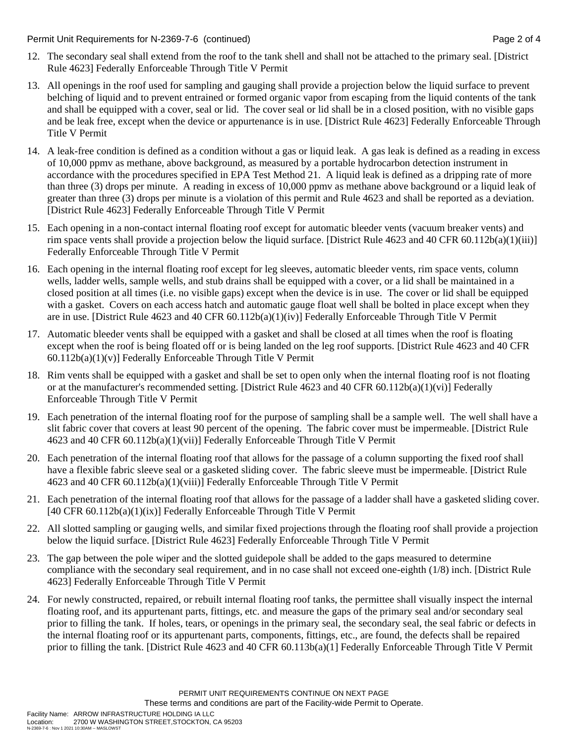Permit Unit Requirements for N-2369-7-6 (continued) Page 2 of 4

- 12. The secondary seal shall extend from the roof to the tank shell and shall not be attached to the primary seal. [District Rule 4623] Federally Enforceable Through Title V Permit
- 13. All openings in the roof used for sampling and gauging shall provide a projection below the liquid surface to prevent belching of liquid and to prevent entrained or formed organic vapor from escaping from the liquid contents of the tank and shall be equipped with a cover, seal or lid. The cover seal or lid shall be in a closed position, with no visible gaps and be leak free, except when the device or appurtenance is in use. [District Rule 4623] Federally Enforceable Through Title V Permit
- 14. A leak-free condition is defined as a condition without a gas or liquid leak. A gas leak is defined as a reading in excess of 10,000 ppmv as methane, above background, as measured by a portable hydrocarbon detection instrument in accordance with the procedures specified in EPA Test Method 21. A liquid leak is defined as a dripping rate of more than three (3) drops per minute. A reading in excess of 10,000 ppmv as methane above background or a liquid leak of greater than three (3) drops per minute is a violation of this permit and Rule 4623 and shall be reported as a deviation. [District Rule 4623] Federally Enforceable Through Title V Permit
- 15. Each opening in a non-contact internal floating roof except for automatic bleeder vents (vacuum breaker vents) and rim space vents shall provide a projection below the liquid surface. [District Rule 4623 and 40 CFR 60.112b(a)(1)(iii)] Federally Enforceable Through Title V Permit
- 16. Each opening in the internal floating roof except for leg sleeves, automatic bleeder vents, rim space vents, column wells, ladder wells, sample wells, and stub drains shall be equipped with a cover, or a lid shall be maintained in a closed position at all times (i.e. no visible gaps) except when the device is in use. The cover or lid shall be equipped with a gasket. Covers on each access hatch and automatic gauge float well shall be bolted in place except when they are in use. [District Rule 4623 and 40 CFR 60.112b(a)(1)(iv)] Federally Enforceable Through Title V Permit
- 17. Automatic bleeder vents shall be equipped with a gasket and shall be closed at all times when the roof is floating except when the roof is being floated off or is being landed on the leg roof supports. [District Rule 4623 and 40 CFR  $60.112b(a)(1)(v)$ ] Federally Enforceable Through Title V Permit
- 18. Rim vents shall be equipped with a gasket and shall be set to open only when the internal floating roof is not floating or at the manufacturer's recommended setting. [District Rule 4623 and 40 CFR 60.112b(a)(1)(vi)] Federally Enforceable Through Title V Permit
- 19. Each penetration of the internal floating roof for the purpose of sampling shall be a sample well. The well shall have a slit fabric cover that covers at least 90 percent of the opening. The fabric cover must be impermeable. [District Rule 4623 and 40 CFR 60.112b(a)(1)(vii)] Federally Enforceable Through Title V Permit
- 20. Each penetration of the internal floating roof that allows for the passage of a column supporting the fixed roof shall have a flexible fabric sleeve seal or a gasketed sliding cover. The fabric sleeve must be impermeable. [District Rule 4623 and 40 CFR 60.112b(a)(1)(viii)] Federally Enforceable Through Title V Permit
- 21. Each penetration of the internal floating roof that allows for the passage of a ladder shall have a gasketed sliding cover.  $[40 \text{ CFR } 60.112b(a)(1)(ix)]$  Federally Enforceable Through Title V Permit
- 22. All slotted sampling or gauging wells, and similar fixed projections through the floating roof shall provide a projection below the liquid surface. [District Rule 4623] Federally Enforceable Through Title V Permit
- 23. The gap between the pole wiper and the slotted guidepole shall be added to the gaps measured to determine compliance with the secondary seal requirement, and in no case shall not exceed one-eighth (1/8) inch. [District Rule 4623] Federally Enforceable Through Title V Permit
- 24. For newly constructed, repaired, or rebuilt internal floating roof tanks, the permittee shall visually inspect the internal floating roof, and its appurtenant parts, fittings, etc. and measure the gaps of the primary seal and/or secondary seal prior to filling the tank. If holes, tears, or openings in the primary seal, the secondary seal, the seal fabric or defects in the internal floating roof or its appurtenant parts, components, fittings, etc., are found, the defects shall be repaired prior to filling the tank. [District Rule 4623 and 40 CFR 60.113b(a)(1] Federally Enforceable Through Title V Permit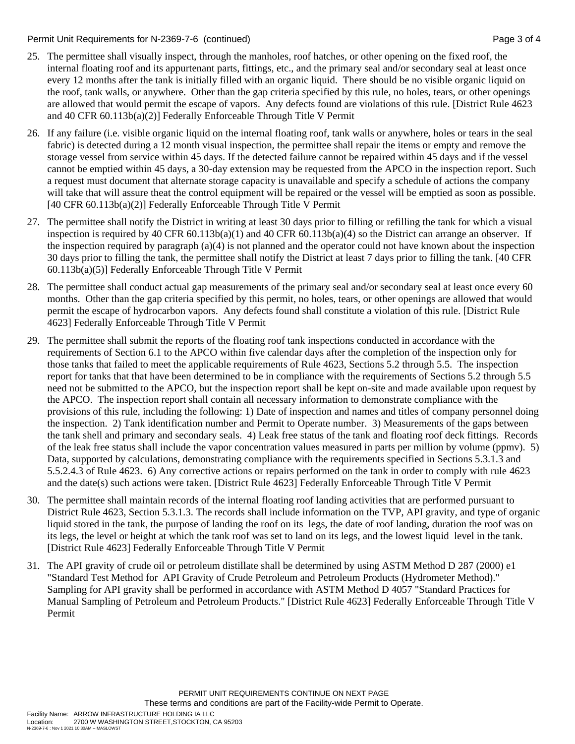#### Permit Unit Requirements for N-2369-7-6 (continued) Page 3 of 4

- 25. The permittee shall visually inspect, through the manholes, roof hatches, or other opening on the fixed roof, the internal floating roof and its appurtenant parts, fittings, etc., and the primary seal and/or secondary seal at least once every 12 months after the tank is initially filled with an organic liquid. There should be no visible organic liquid on the roof, tank walls, or anywhere. Other than the gap criteria specified by this rule, no holes, tears, or other openings are allowed that would permit the escape of vapors. Any defects found are violations of this rule. [District Rule 4623 and 40 CFR 60.113b(a)(2)] Federally Enforceable Through Title V Permit
- 26. If any failure (i.e. visible organic liquid on the internal floating roof, tank walls or anywhere, holes or tears in the seal fabric) is detected during a 12 month visual inspection, the permittee shall repair the items or empty and remove the storage vessel from service within 45 days. If the detected failure cannot be repaired within 45 days and if the vessel cannot be emptied within 45 days, a 30-day extension may be requested from the APCO in the inspection report. Such a request must document that alternate storage capacity is unavailable and specify a schedule of actions the company will take that will assure theat the control equipment will be repaired or the vessel will be emptied as soon as possible. [40 CFR 60.113b(a)(2)] Federally Enforceable Through Title V Permit
- 27. The permittee shall notify the District in writing at least 30 days prior to filling or refilling the tank for which a visual inspection is required by 40 CFR 60.113b(a)(1) and 40 CFR 60.113b(a)(4) so the District can arrange an observer. If the inspection required by paragraph (a)(4) is not planned and the operator could not have known about the inspection 30 days prior to filling the tank, the permittee shall notify the District at least 7 days prior to filling the tank. [40 CFR 60.113b(a)(5)] Federally Enforceable Through Title V Permit
- 28. The permittee shall conduct actual gap measurements of the primary seal and/or secondary seal at least once every 60 months. Other than the gap criteria specified by this permit, no holes, tears, or other openings are allowed that would permit the escape of hydrocarbon vapors. Any defects found shall constitute a violation of this rule. [District Rule 4623] Federally Enforceable Through Title V Permit
- 29. The permittee shall submit the reports of the floating roof tank inspections conducted in accordance with the requirements of Section 6.1 to the APCO within five calendar days after the completion of the inspection only for those tanks that failed to meet the applicable requirements of Rule 4623, Sections 5.2 through 5.5. The inspection report for tanks that that have been determined to be in compliance with the requirements of Sections 5.2 through 5.5 need not be submitted to the APCO, but the inspection report shall be kept on-site and made available upon request by the APCO. The inspection report shall contain all necessary information to demonstrate compliance with the provisions of this rule, including the following: 1) Date of inspection and names and titles of company personnel doing the inspection. 2) Tank identification number and Permit to Operate number. 3) Measurements of the gaps between the tank shell and primary and secondary seals. 4) Leak free status of the tank and floating roof deck fittings. Records of the leak free status shall include the vapor concentration values measured in parts per million by volume (ppmv). 5) Data, supported by calculations, demonstrating compliance with the requirements specified in Sections 5.3.1.3 and 5.5.2.4.3 of Rule 4623. 6) Any corrective actions or repairs performed on the tank in order to comply with rule 4623 and the date(s) such actions were taken. [District Rule 4623] Federally Enforceable Through Title V Permit
- 30. The permittee shall maintain records of the internal floating roof landing activities that are performed pursuant to District Rule 4623, Section 5.3.1.3. The records shall include information on the TVP, API gravity, and type of organic liquid stored in the tank, the purpose of landing the roof on its legs, the date of roof landing, duration the roof was on its legs, the level or height at which the tank roof was set to land on its legs, and the lowest liquid level in the tank. [District Rule 4623] Federally Enforceable Through Title V Permit
- 31. The API gravity of crude oil or petroleum distillate shall be determined by using ASTM Method D 287 (2000) e1 "Standard Test Method for API Gravity of Crude Petroleum and Petroleum Products (Hydrometer Method)." Sampling for API gravity shall be performed in accordance with ASTM Method D 4057 "Standard Practices for Manual Sampling of Petroleum and Petroleum Products." [District Rule 4623] Federally Enforceable Through Title V Permit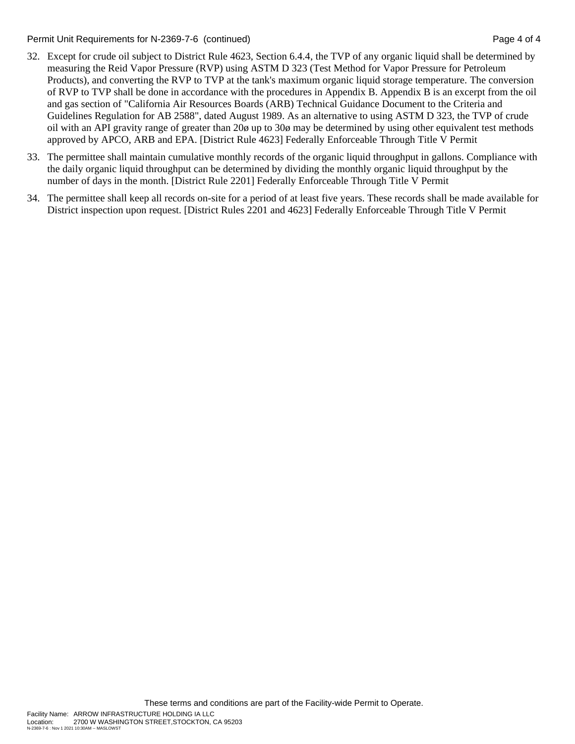Permit Unit Requirements for N-2369-7-6 (continued) Page 4 of 4

- 32. Except for crude oil subject to District Rule 4623, Section 6.4.4, the TVP of any organic liquid shall be determined by measuring the Reid Vapor Pressure (RVP) using ASTM D 323 (Test Method for Vapor Pressure for Petroleum Products), and converting the RVP to TVP at the tank's maximum organic liquid storage temperature. The conversion of RVP to TVP shall be done in accordance with the procedures in Appendix B. Appendix B is an excerpt from the oil and gas section of "California Air Resources Boards (ARB) Technical Guidance Document to the Criteria and Guidelines Regulation for AB 2588", dated August 1989. As an alternative to using ASTM D 323, the TVP of crude oil with an API gravity range of greater than 20ø up to 30ø may be determined by using other equivalent test methods approved by APCO, ARB and EPA. [District Rule 4623] Federally Enforceable Through Title V Permit
- 33. The permittee shall maintain cumulative monthly records of the organic liquid throughput in gallons. Compliance with the daily organic liquid throughput can be determined by dividing the monthly organic liquid throughput by the number of days in the month. [District Rule 2201] Federally Enforceable Through Title V Permit
- 34. The permittee shall keep all records on-site for a period of at least five years. These records shall be made available for District inspection upon request. [District Rules 2201 and 4623] Federally Enforceable Through Title V Permit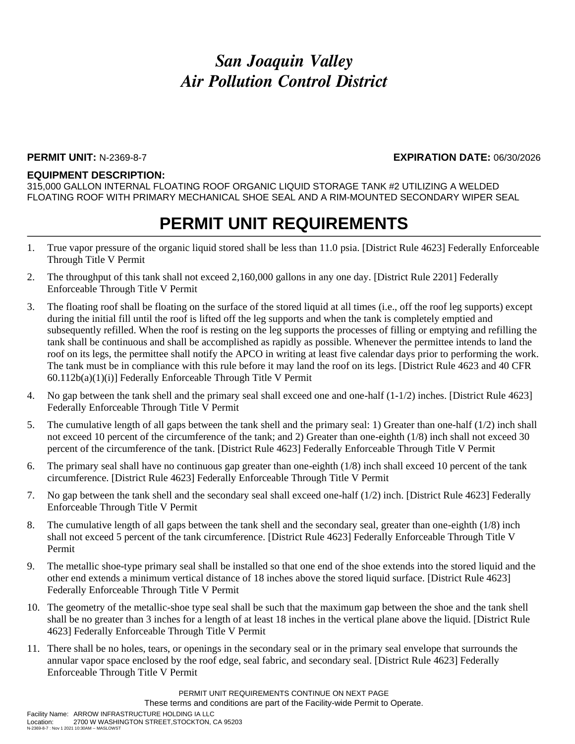#### **PERMIT UNIT:** N-2369-8-7 **EXPIRATION DATE:** 06/30/2026

#### **EQUIPMENT DESCRIPTION:**

315,000 GALLON INTERNAL FLOATING ROOF ORGANIC LIQUID STORAGE TANK #2 UTILIZING A WELDED FLOATING ROOF WITH PRIMARY MECHANICAL SHOE SEAL AND A RIM-MOUNTED SECONDARY WIPER SEAL

### **PERMIT UNIT REQUIREMENTS**

- 1. True vapor pressure of the organic liquid stored shall be less than 11.0 psia. [District Rule 4623] Federally Enforceable Through Title V Permit
- 2. The throughput of this tank shall not exceed 2,160,000 gallons in any one day. [District Rule 2201] Federally Enforceable Through Title V Permit
- 3. The floating roof shall be floating on the surface of the stored liquid at all times (i.e., off the roof leg supports) except during the initial fill until the roof is lifted off the leg supports and when the tank is completely emptied and subsequently refilled. When the roof is resting on the leg supports the processes of filling or emptying and refilling the tank shall be continuous and shall be accomplished as rapidly as possible. Whenever the permittee intends to land the roof on its legs, the permittee shall notify the APCO in writing at least five calendar days prior to performing the work. The tank must be in compliance with this rule before it may land the roof on its legs. [District Rule 4623 and 40 CFR 60.112b(a)(1)(i)] Federally Enforceable Through Title V Permit
- 4. No gap between the tank shell and the primary seal shall exceed one and one-half (1-1/2) inches. [District Rule 4623] Federally Enforceable Through Title V Permit
- 5. The cumulative length of all gaps between the tank shell and the primary seal: 1) Greater than one-half (1/2) inch shall not exceed 10 percent of the circumference of the tank; and 2) Greater than one-eighth (1/8) inch shall not exceed 30 percent of the circumference of the tank. [District Rule 4623] Federally Enforceable Through Title V Permit
- 6. The primary seal shall have no continuous gap greater than one-eighth (1/8) inch shall exceed 10 percent of the tank circumference. [District Rule 4623] Federally Enforceable Through Title V Permit
- 7. No gap between the tank shell and the secondary seal shall exceed one-half (1/2) inch. [District Rule 4623] Federally Enforceable Through Title V Permit
- 8. The cumulative length of all gaps between the tank shell and the secondary seal, greater than one-eighth (1/8) inch shall not exceed 5 percent of the tank circumference. [District Rule 4623] Federally Enforceable Through Title V Permit
- 9. The metallic shoe-type primary seal shall be installed so that one end of the shoe extends into the stored liquid and the other end extends a minimum vertical distance of 18 inches above the stored liquid surface. [District Rule 4623] Federally Enforceable Through Title V Permit
- 10. The geometry of the metallic-shoe type seal shall be such that the maximum gap between the shoe and the tank shell shall be no greater than 3 inches for a length of at least 18 inches in the vertical plane above the liquid. [District Rule 4623] Federally Enforceable Through Title V Permit
- 11. There shall be no holes, tears, or openings in the secondary seal or in the primary seal envelope that surrounds the annular vapor space enclosed by the roof edge, seal fabric, and secondary seal. [District Rule 4623] Federally Enforceable Through Title V Permit

PERMIT UNIT REQUIREMENTS CONTINUE ON NEXT PAGE These terms and conditions are part of the Facility-wide Permit to Operate.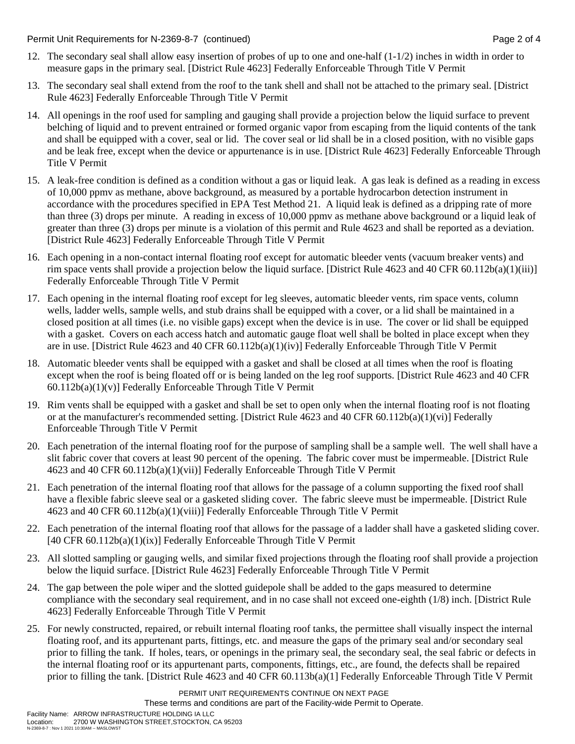Permit Unit Requirements for N-2369-8-7 (continued) Page 2 of 4

- 12. The secondary seal shall allow easy insertion of probes of up to one and one-half (1-1/2) inches in width in order to measure gaps in the primary seal. [District Rule 4623] Federally Enforceable Through Title V Permit
- 13. The secondary seal shall extend from the roof to the tank shell and shall not be attached to the primary seal. [District Rule 4623] Federally Enforceable Through Title V Permit
- 14. All openings in the roof used for sampling and gauging shall provide a projection below the liquid surface to prevent belching of liquid and to prevent entrained or formed organic vapor from escaping from the liquid contents of the tank and shall be equipped with a cover, seal or lid. The cover seal or lid shall be in a closed position, with no visible gaps and be leak free, except when the device or appurtenance is in use. [District Rule 4623] Federally Enforceable Through Title V Permit
- 15. A leak-free condition is defined as a condition without a gas or liquid leak. A gas leak is defined as a reading in excess of 10,000 ppmv as methane, above background, as measured by a portable hydrocarbon detection instrument in accordance with the procedures specified in EPA Test Method 21. A liquid leak is defined as a dripping rate of more than three (3) drops per minute. A reading in excess of 10,000 ppmv as methane above background or a liquid leak of greater than three (3) drops per minute is a violation of this permit and Rule 4623 and shall be reported as a deviation. [District Rule 4623] Federally Enforceable Through Title V Permit
- 16. Each opening in a non-contact internal floating roof except for automatic bleeder vents (vacuum breaker vents) and rim space vents shall provide a projection below the liquid surface. [District Rule 4623 and 40 CFR 60.112b(a)(1)(iii)] Federally Enforceable Through Title V Permit
- 17. Each opening in the internal floating roof except for leg sleeves, automatic bleeder vents, rim space vents, column wells, ladder wells, sample wells, and stub drains shall be equipped with a cover, or a lid shall be maintained in a closed position at all times (i.e. no visible gaps) except when the device is in use. The cover or lid shall be equipped with a gasket. Covers on each access hatch and automatic gauge float well shall be bolted in place except when they are in use. [District Rule 4623 and 40 CFR 60.112b(a)(1)(iv)] Federally Enforceable Through Title V Permit
- 18. Automatic bleeder vents shall be equipped with a gasket and shall be closed at all times when the roof is floating except when the roof is being floated off or is being landed on the leg roof supports. [District Rule 4623 and 40 CFR  $60.112b(a)(1)(v)$ ] Federally Enforceable Through Title V Permit
- 19. Rim vents shall be equipped with a gasket and shall be set to open only when the internal floating roof is not floating or at the manufacturer's recommended setting. [District Rule 4623 and 40 CFR 60.112b(a)(1)(vi)] Federally Enforceable Through Title V Permit
- 20. Each penetration of the internal floating roof for the purpose of sampling shall be a sample well. The well shall have a slit fabric cover that covers at least 90 percent of the opening. The fabric cover must be impermeable. [District Rule 4623 and 40 CFR 60.112b(a)(1)(vii)] Federally Enforceable Through Title V Permit
- 21. Each penetration of the internal floating roof that allows for the passage of a column supporting the fixed roof shall have a flexible fabric sleeve seal or a gasketed sliding cover. The fabric sleeve must be impermeable. [District Rule 4623 and 40 CFR 60.112b(a)(1)(viii)] Federally Enforceable Through Title V Permit
- 22. Each penetration of the internal floating roof that allows for the passage of a ladder shall have a gasketed sliding cover. [40 CFR 60.112b(a)(1)(ix)] Federally Enforceable Through Title V Permit
- 23. All slotted sampling or gauging wells, and similar fixed projections through the floating roof shall provide a projection below the liquid surface. [District Rule 4623] Federally Enforceable Through Title V Permit
- 24. The gap between the pole wiper and the slotted guidepole shall be added to the gaps measured to determine compliance with the secondary seal requirement, and in no case shall not exceed one-eighth (1/8) inch. [District Rule 4623] Federally Enforceable Through Title V Permit
- 25. For newly constructed, repaired, or rebuilt internal floating roof tanks, the permittee shall visually inspect the internal floating roof, and its appurtenant parts, fittings, etc. and measure the gaps of the primary seal and/or secondary seal prior to filling the tank. If holes, tears, or openings in the primary seal, the secondary seal, the seal fabric or defects in the internal floating roof or its appurtenant parts, components, fittings, etc., are found, the defects shall be repaired prior to filling the tank. [District Rule 4623 and 40 CFR 60.113b(a)(1] Federally Enforceable Through Title V Permit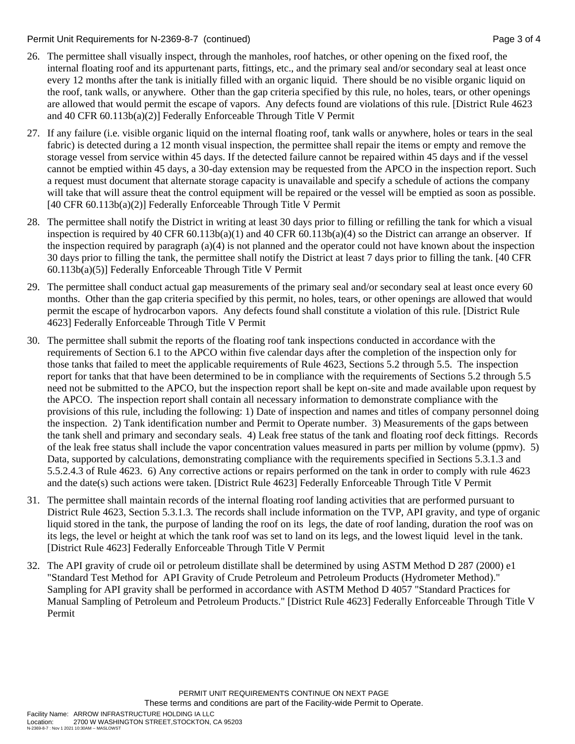#### Permit Unit Requirements for N-2369-8-7 (continued) Page 3 of 4

- 26. The permittee shall visually inspect, through the manholes, roof hatches, or other opening on the fixed roof, the internal floating roof and its appurtenant parts, fittings, etc., and the primary seal and/or secondary seal at least once every 12 months after the tank is initially filled with an organic liquid. There should be no visible organic liquid on the roof, tank walls, or anywhere. Other than the gap criteria specified by this rule, no holes, tears, or other openings are allowed that would permit the escape of vapors. Any defects found are violations of this rule. [District Rule 4623 and 40 CFR 60.113b(a)(2)] Federally Enforceable Through Title V Permit
- 27. If any failure (i.e. visible organic liquid on the internal floating roof, tank walls or anywhere, holes or tears in the seal fabric) is detected during a 12 month visual inspection, the permittee shall repair the items or empty and remove the storage vessel from service within 45 days. If the detected failure cannot be repaired within 45 days and if the vessel cannot be emptied within 45 days, a 30-day extension may be requested from the APCO in the inspection report. Such a request must document that alternate storage capacity is unavailable and specify a schedule of actions the company will take that will assure theat the control equipment will be repaired or the vessel will be emptied as soon as possible. [40 CFR 60.113b(a)(2)] Federally Enforceable Through Title V Permit
- 28. The permittee shall notify the District in writing at least 30 days prior to filling or refilling the tank for which a visual inspection is required by 40 CFR 60.113b(a)(1) and 40 CFR 60.113b(a)(4) so the District can arrange an observer. If the inspection required by paragraph (a)(4) is not planned and the operator could not have known about the inspection 30 days prior to filling the tank, the permittee shall notify the District at least 7 days prior to filling the tank. [40 CFR 60.113b(a)(5)] Federally Enforceable Through Title V Permit
- 29. The permittee shall conduct actual gap measurements of the primary seal and/or secondary seal at least once every 60 months. Other than the gap criteria specified by this permit, no holes, tears, or other openings are allowed that would permit the escape of hydrocarbon vapors. Any defects found shall constitute a violation of this rule. [District Rule 4623] Federally Enforceable Through Title V Permit
- 30. The permittee shall submit the reports of the floating roof tank inspections conducted in accordance with the requirements of Section 6.1 to the APCO within five calendar days after the completion of the inspection only for those tanks that failed to meet the applicable requirements of Rule 4623, Sections 5.2 through 5.5. The inspection report for tanks that that have been determined to be in compliance with the requirements of Sections 5.2 through 5.5 need not be submitted to the APCO, but the inspection report shall be kept on-site and made available upon request by the APCO. The inspection report shall contain all necessary information to demonstrate compliance with the provisions of this rule, including the following: 1) Date of inspection and names and titles of company personnel doing the inspection. 2) Tank identification number and Permit to Operate number. 3) Measurements of the gaps between the tank shell and primary and secondary seals. 4) Leak free status of the tank and floating roof deck fittings. Records of the leak free status shall include the vapor concentration values measured in parts per million by volume (ppmv). 5) Data, supported by calculations, demonstrating compliance with the requirements specified in Sections 5.3.1.3 and 5.5.2.4.3 of Rule 4623. 6) Any corrective actions or repairs performed on the tank in order to comply with rule 4623 and the date(s) such actions were taken. [District Rule 4623] Federally Enforceable Through Title V Permit
- 31. The permittee shall maintain records of the internal floating roof landing activities that are performed pursuant to District Rule 4623, Section 5.3.1.3. The records shall include information on the TVP, API gravity, and type of organic liquid stored in the tank, the purpose of landing the roof on its legs, the date of roof landing, duration the roof was on its legs, the level or height at which the tank roof was set to land on its legs, and the lowest liquid level in the tank. [District Rule 4623] Federally Enforceable Through Title V Permit
- 32. The API gravity of crude oil or petroleum distillate shall be determined by using ASTM Method D 287 (2000) e1 "Standard Test Method for API Gravity of Crude Petroleum and Petroleum Products (Hydrometer Method)." Sampling for API gravity shall be performed in accordance with ASTM Method D 4057 "Standard Practices for Manual Sampling of Petroleum and Petroleum Products." [District Rule 4623] Federally Enforceable Through Title V Permit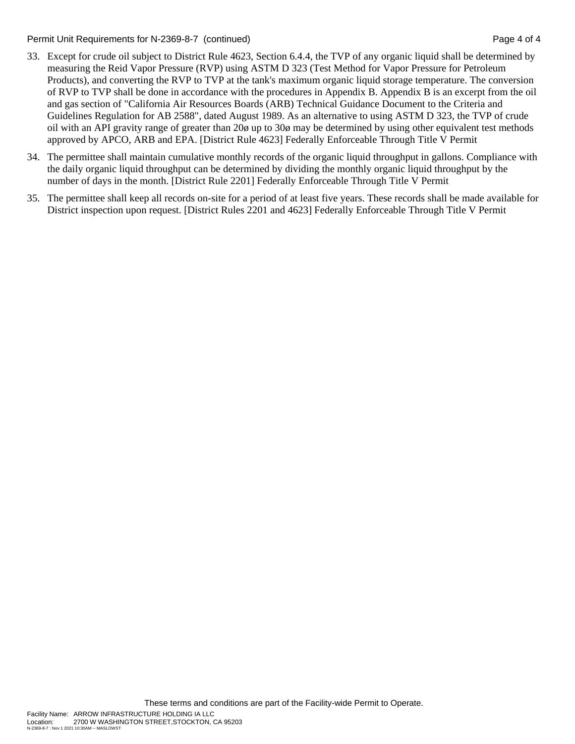Permit Unit Requirements for N-2369-8-7 (continued) Page 4 of 4

- 33. Except for crude oil subject to District Rule 4623, Section 6.4.4, the TVP of any organic liquid shall be determined by measuring the Reid Vapor Pressure (RVP) using ASTM D 323 (Test Method for Vapor Pressure for Petroleum Products), and converting the RVP to TVP at the tank's maximum organic liquid storage temperature. The conversion of RVP to TVP shall be done in accordance with the procedures in Appendix B. Appendix B is an excerpt from the oil and gas section of "California Air Resources Boards (ARB) Technical Guidance Document to the Criteria and Guidelines Regulation for AB 2588", dated August 1989. As an alternative to using ASTM D 323, the TVP of crude oil with an API gravity range of greater than 20ø up to 30ø may be determined by using other equivalent test methods approved by APCO, ARB and EPA. [District Rule 4623] Federally Enforceable Through Title V Permit
- 34. The permittee shall maintain cumulative monthly records of the organic liquid throughput in gallons. Compliance with the daily organic liquid throughput can be determined by dividing the monthly organic liquid throughput by the number of days in the month. [District Rule 2201] Federally Enforceable Through Title V Permit
- 35. The permittee shall keep all records on-site for a period of at least five years. These records shall be made available for District inspection upon request. [District Rules 2201 and 4623] Federally Enforceable Through Title V Permit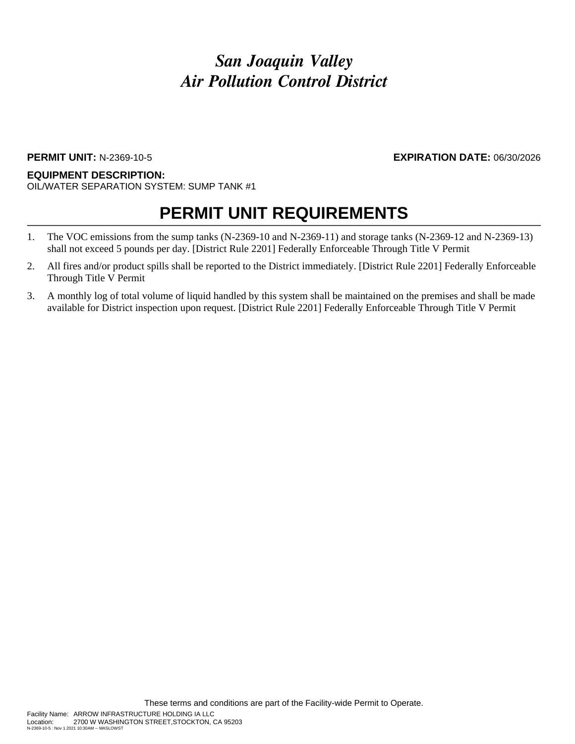### **PERMIT UNIT:** N-2369-10-5 **EXPIRATION DATE:** 06/30/2026

#### **EQUIPMENT DESCRIPTION:** OIL/WATER SEPARATION SYSTEM: SUMP TANK #1

- 1. The VOC emissions from the sump tanks (N-2369-10 and N-2369-11) and storage tanks (N-2369-12 and N-2369-13) shall not exceed 5 pounds per day. [District Rule 2201] Federally Enforceable Through Title V Permit
- 2. All fires and/or product spills shall be reported to the District immediately. [District Rule 2201] Federally Enforceable Through Title V Permit
- 3. A monthly log of total volume of liquid handled by this system shall be maintained on the premises and shall be made available for District inspection upon request. [District Rule 2201] Federally Enforceable Through Title V Permit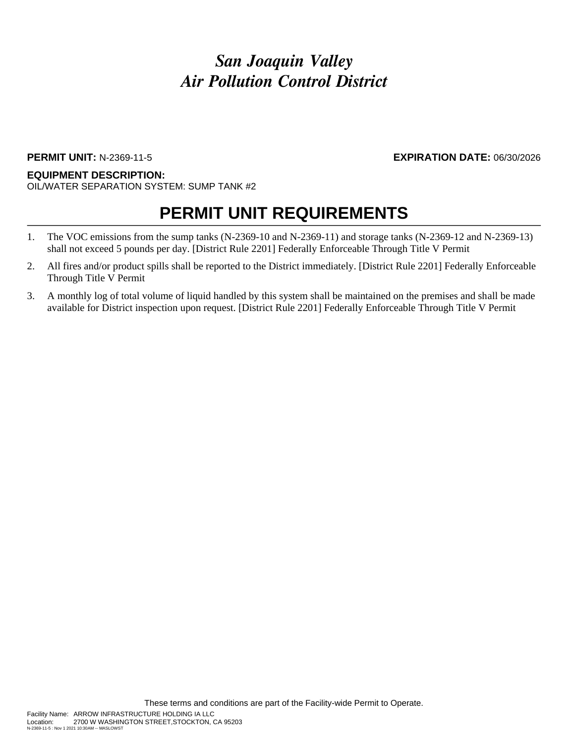### **PERMIT UNIT:** N-2369-11-5 **EXPIRATION DATE:** 06/30/2026

#### **EQUIPMENT DESCRIPTION:** OIL/WATER SEPARATION SYSTEM: SUMP TANK #2

- 1. The VOC emissions from the sump tanks (N-2369-10 and N-2369-11) and storage tanks (N-2369-12 and N-2369-13) shall not exceed 5 pounds per day. [District Rule 2201] Federally Enforceable Through Title V Permit
- 2. All fires and/or product spills shall be reported to the District immediately. [District Rule 2201] Federally Enforceable Through Title V Permit
- 3. A monthly log of total volume of liquid handled by this system shall be maintained on the premises and shall be made available for District inspection upon request. [District Rule 2201] Federally Enforceable Through Title V Permit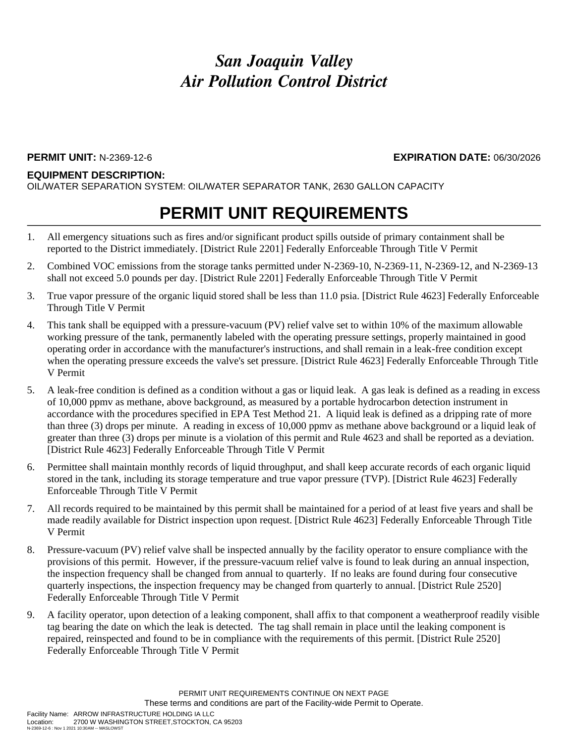**PERMIT UNIT:** N-2369-12-6 **EXPIRATION DATE:** 06/30/2026

### **EQUIPMENT DESCRIPTION:**

OIL/WATER SEPARATION SYSTEM: OIL/WATER SEPARATOR TANK, 2630 GALLON CAPACITY

- 1. All emergency situations such as fires and/or significant product spills outside of primary containment shall be reported to the District immediately. [District Rule 2201] Federally Enforceable Through Title V Permit
- 2. Combined VOC emissions from the storage tanks permitted under N-2369-10, N-2369-11, N-2369-12, and N-2369-13 shall not exceed 5.0 pounds per day. [District Rule 2201] Federally Enforceable Through Title V Permit
- 3. True vapor pressure of the organic liquid stored shall be less than 11.0 psia. [District Rule 4623] Federally Enforceable Through Title V Permit
- 4. This tank shall be equipped with a pressure-vacuum (PV) relief valve set to within 10% of the maximum allowable working pressure of the tank, permanently labeled with the operating pressure settings, properly maintained in good operating order in accordance with the manufacturer's instructions, and shall remain in a leak-free condition except when the operating pressure exceeds the valve's set pressure. [District Rule 4623] Federally Enforceable Through Title V Permit
- 5. A leak-free condition is defined as a condition without a gas or liquid leak. A gas leak is defined as a reading in excess of 10,000 ppmv as methane, above background, as measured by a portable hydrocarbon detection instrument in accordance with the procedures specified in EPA Test Method 21. A liquid leak is defined as a dripping rate of more than three (3) drops per minute. A reading in excess of 10,000 ppmv as methane above background or a liquid leak of greater than three (3) drops per minute is a violation of this permit and Rule 4623 and shall be reported as a deviation. [District Rule 4623] Federally Enforceable Through Title V Permit
- 6. Permittee shall maintain monthly records of liquid throughput, and shall keep accurate records of each organic liquid stored in the tank, including its storage temperature and true vapor pressure (TVP). [District Rule 4623] Federally Enforceable Through Title V Permit
- 7. All records required to be maintained by this permit shall be maintained for a period of at least five years and shall be made readily available for District inspection upon request. [District Rule 4623] Federally Enforceable Through Title V Permit
- 8. Pressure-vacuum (PV) relief valve shall be inspected annually by the facility operator to ensure compliance with the provisions of this permit. However, if the pressure-vacuum relief valve is found to leak during an annual inspection, the inspection frequency shall be changed from annual to quarterly. If no leaks are found during four consecutive quarterly inspections, the inspection frequency may be changed from quarterly to annual. [District Rule 2520] Federally Enforceable Through Title V Permit
- 9. A facility operator, upon detection of a leaking component, shall affix to that component a weatherproof readily visible tag bearing the date on which the leak is detected. The tag shall remain in place until the leaking component is repaired, reinspected and found to be in compliance with the requirements of this permit. [District Rule 2520] Federally Enforceable Through Title V Permit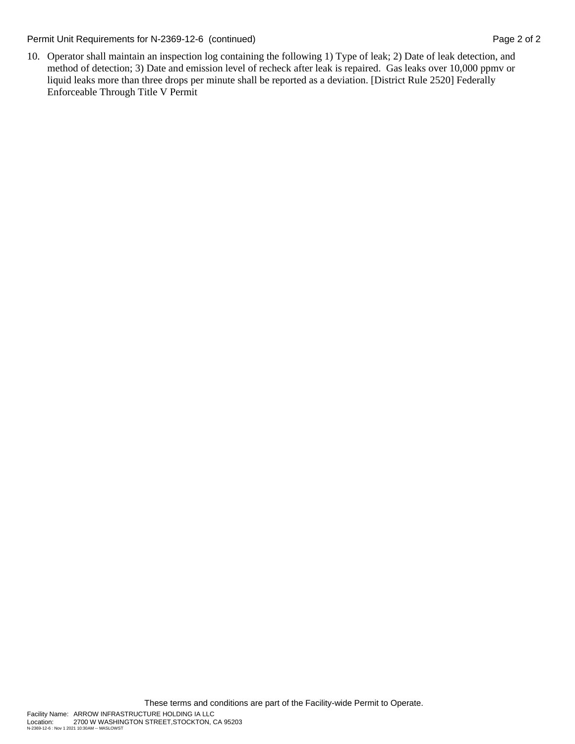Permit Unit Requirements for N-2369-12-6 (continued) Page 2 of 2

10. Operator shall maintain an inspection log containing the following 1) Type of leak; 2) Date of leak detection, and method of detection; 3) Date and emission level of recheck after leak is repaired. Gas leaks over 10,000 ppmv or liquid leaks more than three drops per minute shall be reported as a deviation. [District Rule 2520] Federally Enforceable Through Title V Permit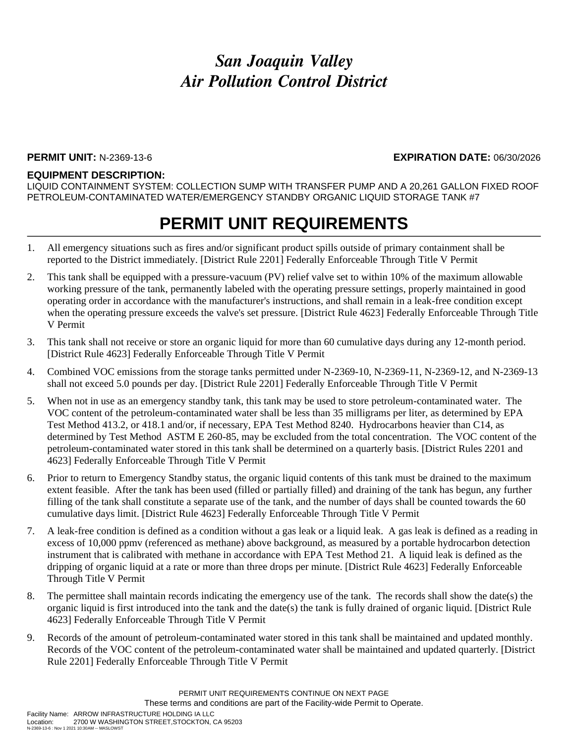#### **PERMIT UNIT:** N-2369-13-6 **EXPIRATION DATE:** 06/30/2026

#### **EQUIPMENT DESCRIPTION:**

LIQUID CONTAINMENT SYSTEM: COLLECTION SUMP WITH TRANSFER PUMP AND A 20,261 GALLON FIXED ROOF PETROLEUM-CONTAMINATED WATER/EMERGENCY STANDBY ORGANIC LIQUID STORAGE TANK #7

- 1. All emergency situations such as fires and/or significant product spills outside of primary containment shall be reported to the District immediately. [District Rule 2201] Federally Enforceable Through Title V Permit
- 2. This tank shall be equipped with a pressure-vacuum (PV) relief valve set to within 10% of the maximum allowable working pressure of the tank, permanently labeled with the operating pressure settings, properly maintained in good operating order in accordance with the manufacturer's instructions, and shall remain in a leak-free condition except when the operating pressure exceeds the valve's set pressure. [District Rule 4623] Federally Enforceable Through Title V Permit
- 3. This tank shall not receive or store an organic liquid for more than 60 cumulative days during any 12-month period. [District Rule 4623] Federally Enforceable Through Title V Permit
- 4. Combined VOC emissions from the storage tanks permitted under N-2369-10, N-2369-11, N-2369-12, and N-2369-13 shall not exceed 5.0 pounds per day. [District Rule 2201] Federally Enforceable Through Title V Permit
- 5. When not in use as an emergency standby tank, this tank may be used to store petroleum-contaminated water. The VOC content of the petroleum-contaminated water shall be less than 35 milligrams per liter, as determined by EPA Test Method 413.2, or 418.1 and/or, if necessary, EPA Test Method 8240. Hydrocarbons heavier than C14, as determined by Test Method ASTM E 260-85, may be excluded from the total concentration. The VOC content of the petroleum-contaminated water stored in this tank shall be determined on a quarterly basis. [District Rules 2201 and 4623] Federally Enforceable Through Title V Permit
- 6. Prior to return to Emergency Standby status, the organic liquid contents of this tank must be drained to the maximum extent feasible. After the tank has been used (filled or partially filled) and draining of the tank has begun, any further filling of the tank shall constitute a separate use of the tank, and the number of days shall be counted towards the 60 cumulative days limit. [District Rule 4623] Federally Enforceable Through Title V Permit
- 7. A leak-free condition is defined as a condition without a gas leak or a liquid leak. A gas leak is defined as a reading in excess of 10,000 ppmv (referenced as methane) above background, as measured by a portable hydrocarbon detection instrument that is calibrated with methane in accordance with EPA Test Method 21. A liquid leak is defined as the dripping of organic liquid at a rate or more than three drops per minute. [District Rule 4623] Federally Enforceable Through Title V Permit
- 8. The permittee shall maintain records indicating the emergency use of the tank. The records shall show the date(s) the organic liquid is first introduced into the tank and the date(s) the tank is fully drained of organic liquid. [District Rule 4623] Federally Enforceable Through Title V Permit
- 9. Records of the amount of petroleum-contaminated water stored in this tank shall be maintained and updated monthly. Records of the VOC content of the petroleum-contaminated water shall be maintained and updated quarterly. [District Rule 2201] Federally Enforceable Through Title V Permit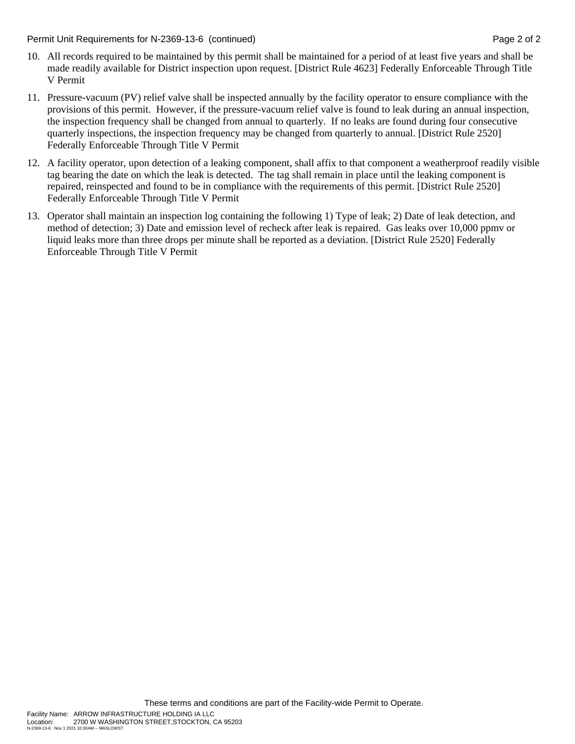Permit Unit Requirements for N-2369-13-6 (continued) **Page 2** of 2

- 10. All records required to be maintained by this permit shall be maintained for a period of at least five years and shall be made readily available for District inspection upon request. [District Rule 4623] Federally Enforceable Through Title V Permit
- 11. Pressure-vacuum (PV) relief valve shall be inspected annually by the facility operator to ensure compliance with the provisions of this permit. However, if the pressure-vacuum relief valve is found to leak during an annual inspection, the inspection frequency shall be changed from annual to quarterly. If no leaks are found during four consecutive quarterly inspections, the inspection frequency may be changed from quarterly to annual. [District Rule 2520] Federally Enforceable Through Title V Permit
- 12. A facility operator, upon detection of a leaking component, shall affix to that component a weatherproof readily visible tag bearing the date on which the leak is detected. The tag shall remain in place until the leaking component is repaired, reinspected and found to be in compliance with the requirements of this permit. [District Rule 2520] Federally Enforceable Through Title V Permit
- 13. Operator shall maintain an inspection log containing the following 1) Type of leak; 2) Date of leak detection, and method of detection; 3) Date and emission level of recheck after leak is repaired. Gas leaks over 10,000 ppmv or liquid leaks more than three drops per minute shall be reported as a deviation. [District Rule 2520] Federally Enforceable Through Title V Permit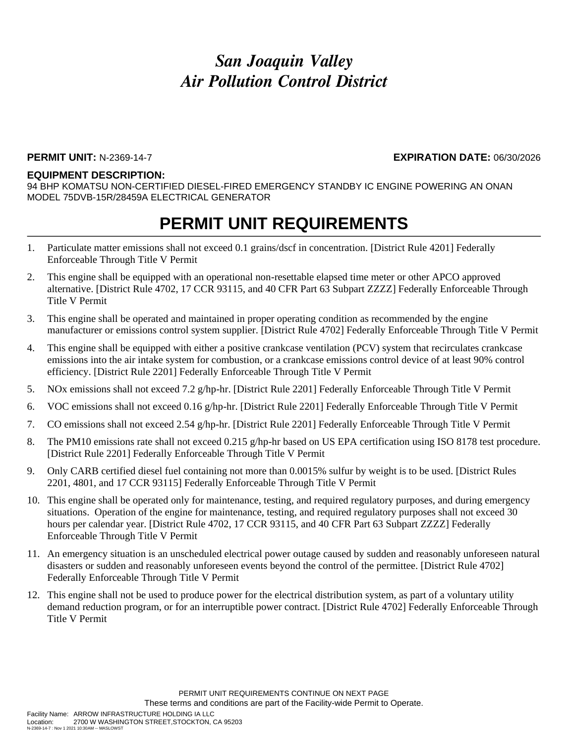#### **PERMIT UNIT:** N-2369-14-7 **EXPIRATION DATE:** 06/30/2026

#### **EQUIPMENT DESCRIPTION:**

94 BHP KOMATSU NON-CERTIFIED DIESEL-FIRED EMERGENCY STANDBY IC ENGINE POWERING AN ONAN MODEL 75DVB-15R/28459A ELECTRICAL GENERATOR

- 1. Particulate matter emissions shall not exceed 0.1 grains/dscf in concentration. [District Rule 4201] Federally Enforceable Through Title V Permit
- 2. This engine shall be equipped with an operational non-resettable elapsed time meter or other APCO approved alternative. [District Rule 4702, 17 CCR 93115, and 40 CFR Part 63 Subpart ZZZZ] Federally Enforceable Through Title V Permit
- 3. This engine shall be operated and maintained in proper operating condition as recommended by the engine manufacturer or emissions control system supplier. [District Rule 4702] Federally Enforceable Through Title V Permit
- 4. This engine shall be equipped with either a positive crankcase ventilation (PCV) system that recirculates crankcase emissions into the air intake system for combustion, or a crankcase emissions control device of at least 90% control efficiency. [District Rule 2201] Federally Enforceable Through Title V Permit
- 5. NOx emissions shall not exceed 7.2 g/hp-hr. [District Rule 2201] Federally Enforceable Through Title V Permit
- 6. VOC emissions shall not exceed 0.16 g/hp-hr. [District Rule 2201] Federally Enforceable Through Title V Permit
- 7. CO emissions shall not exceed 2.54 g/hp-hr. [District Rule 2201] Federally Enforceable Through Title V Permit
- 8. The PM10 emissions rate shall not exceed 0.215 g/hp-hr based on US EPA certification using ISO 8178 test procedure. [District Rule 2201] Federally Enforceable Through Title V Permit
- 9. Only CARB certified diesel fuel containing not more than 0.0015% sulfur by weight is to be used. [District Rules 2201, 4801, and 17 CCR 93115] Federally Enforceable Through Title V Permit
- 10. This engine shall be operated only for maintenance, testing, and required regulatory purposes, and during emergency situations. Operation of the engine for maintenance, testing, and required regulatory purposes shall not exceed 30 hours per calendar year. [District Rule 4702, 17 CCR 93115, and 40 CFR Part 63 Subpart ZZZZ] Federally Enforceable Through Title V Permit
- 11. An emergency situation is an unscheduled electrical power outage caused by sudden and reasonably unforeseen natural disasters or sudden and reasonably unforeseen events beyond the control of the permittee. [District Rule 4702] Federally Enforceable Through Title V Permit
- 12. This engine shall not be used to produce power for the electrical distribution system, as part of a voluntary utility demand reduction program, or for an interruptible power contract. [District Rule 4702] Federally Enforceable Through Title V Permit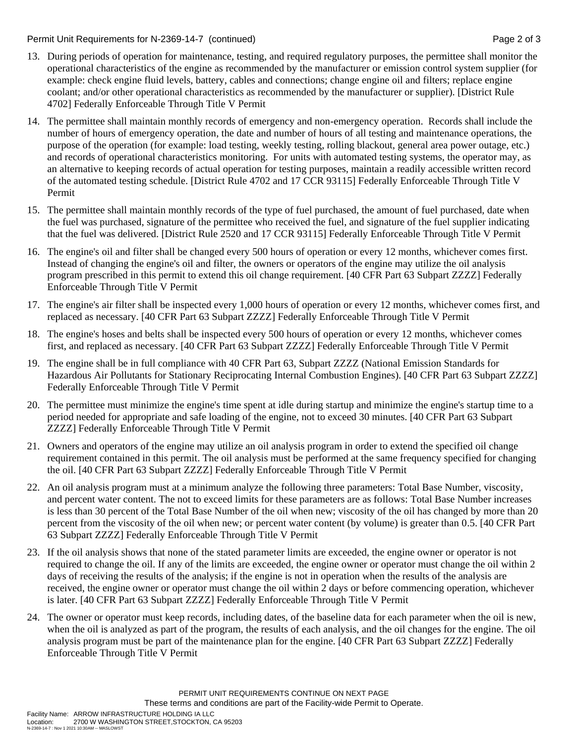Permit Unit Requirements for N-2369-14-7 (continued) **Page 2** of 3

- 13. During periods of operation for maintenance, testing, and required regulatory purposes, the permittee shall monitor the operational characteristics of the engine as recommended by the manufacturer or emission control system supplier (for example: check engine fluid levels, battery, cables and connections; change engine oil and filters; replace engine coolant; and/or other operational characteristics as recommended by the manufacturer or supplier). [District Rule 4702] Federally Enforceable Through Title V Permit
- 14. The permittee shall maintain monthly records of emergency and non-emergency operation. Records shall include the number of hours of emergency operation, the date and number of hours of all testing and maintenance operations, the purpose of the operation (for example: load testing, weekly testing, rolling blackout, general area power outage, etc.) and records of operational characteristics monitoring. For units with automated testing systems, the operator may, as an alternative to keeping records of actual operation for testing purposes, maintain a readily accessible written record of the automated testing schedule. [District Rule 4702 and 17 CCR 93115] Federally Enforceable Through Title V Permit
- 15. The permittee shall maintain monthly records of the type of fuel purchased, the amount of fuel purchased, date when the fuel was purchased, signature of the permittee who received the fuel, and signature of the fuel supplier indicating that the fuel was delivered. [District Rule 2520 and 17 CCR 93115] Federally Enforceable Through Title V Permit
- 16. The engine's oil and filter shall be changed every 500 hours of operation or every 12 months, whichever comes first. Instead of changing the engine's oil and filter, the owners or operators of the engine may utilize the oil analysis program prescribed in this permit to extend this oil change requirement. [40 CFR Part 63 Subpart ZZZZ] Federally Enforceable Through Title V Permit
- 17. The engine's air filter shall be inspected every 1,000 hours of operation or every 12 months, whichever comes first, and replaced as necessary. [40 CFR Part 63 Subpart ZZZZ] Federally Enforceable Through Title V Permit
- 18. The engine's hoses and belts shall be inspected every 500 hours of operation or every 12 months, whichever comes first, and replaced as necessary. [40 CFR Part 63 Subpart ZZZZ] Federally Enforceable Through Title V Permit
- 19. The engine shall be in full compliance with 40 CFR Part 63, Subpart ZZZZ (National Emission Standards for Hazardous Air Pollutants for Stationary Reciprocating Internal Combustion Engines). [40 CFR Part 63 Subpart ZZZZ] Federally Enforceable Through Title V Permit
- 20. The permittee must minimize the engine's time spent at idle during startup and minimize the engine's startup time to a period needed for appropriate and safe loading of the engine, not to exceed 30 minutes. [40 CFR Part 63 Subpart ZZZZ] Federally Enforceable Through Title V Permit
- 21. Owners and operators of the engine may utilize an oil analysis program in order to extend the specified oil change requirement contained in this permit. The oil analysis must be performed at the same frequency specified for changing the oil. [40 CFR Part 63 Subpart ZZZZ] Federally Enforceable Through Title V Permit
- 22. An oil analysis program must at a minimum analyze the following three parameters: Total Base Number, viscosity, and percent water content. The not to exceed limits for these parameters are as follows: Total Base Number increases is less than 30 percent of the Total Base Number of the oil when new; viscosity of the oil has changed by more than 20 percent from the viscosity of the oil when new; or percent water content (by volume) is greater than 0.5. [40 CFR Part 63 Subpart ZZZZ] Federally Enforceable Through Title V Permit
- 23. If the oil analysis shows that none of the stated parameter limits are exceeded, the engine owner or operator is not required to change the oil. If any of the limits are exceeded, the engine owner or operator must change the oil within 2 days of receiving the results of the analysis; if the engine is not in operation when the results of the analysis are received, the engine owner or operator must change the oil within 2 days or before commencing operation, whichever is later. [40 CFR Part 63 Subpart ZZZZ] Federally Enforceable Through Title V Permit
- 24. The owner or operator must keep records, including dates, of the baseline data for each parameter when the oil is new, when the oil is analyzed as part of the program, the results of each analysis, and the oil changes for the engine. The oil analysis program must be part of the maintenance plan for the engine. [40 CFR Part 63 Subpart ZZZZ] Federally Enforceable Through Title V Permit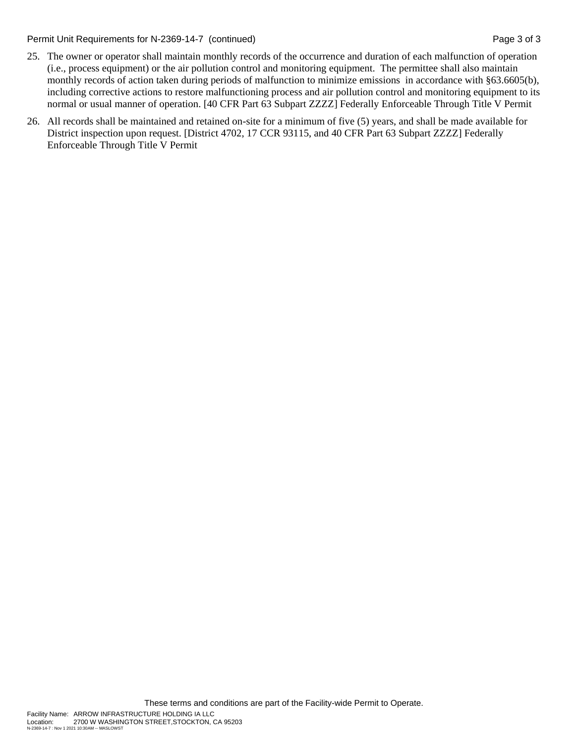Permit Unit Requirements for N-2369-14-7 (continued) Page 3 of 3

- 25. The owner or operator shall maintain monthly records of the occurrence and duration of each malfunction of operation (i.e., process equipment) or the air pollution control and monitoring equipment. The permittee shall also maintain monthly records of action taken during periods of malfunction to minimize emissions in accordance with §63.6605(b), including corrective actions to restore malfunctioning process and air pollution control and monitoring equipment to its normal or usual manner of operation. [40 CFR Part 63 Subpart ZZZZ] Federally Enforceable Through Title V Permit
- 26. All records shall be maintained and retained on-site for a minimum of five (5) years, and shall be made available for District inspection upon request. [District 4702, 17 CCR 93115, and 40 CFR Part 63 Subpart ZZZZ] Federally Enforceable Through Title V Permit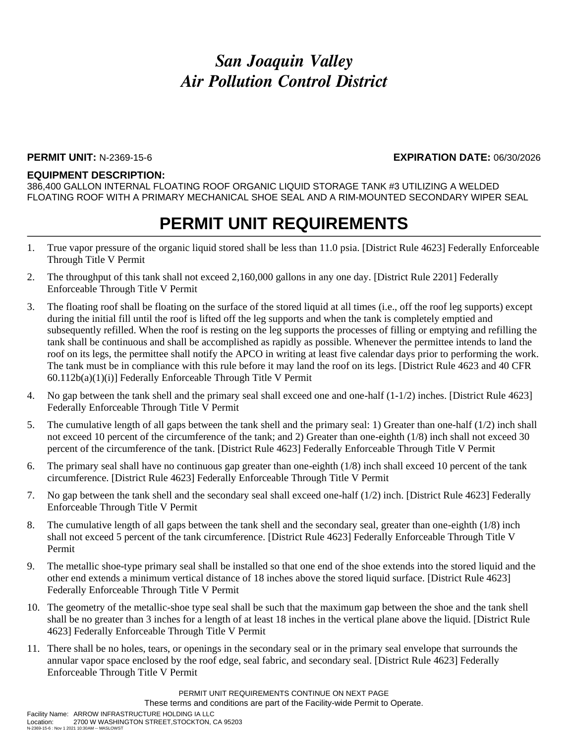#### **PERMIT UNIT:** N-2369-15-6 **EXPIRATION DATE:** 06/30/2026

#### **EQUIPMENT DESCRIPTION:**

386,400 GALLON INTERNAL FLOATING ROOF ORGANIC LIQUID STORAGE TANK #3 UTILIZING A WELDED FLOATING ROOF WITH A PRIMARY MECHANICAL SHOE SEAL AND A RIM-MOUNTED SECONDARY WIPER SEAL

### **PERMIT UNIT REQUIREMENTS**

- 1. True vapor pressure of the organic liquid stored shall be less than 11.0 psia. [District Rule 4623] Federally Enforceable Through Title V Permit
- 2. The throughput of this tank shall not exceed 2,160,000 gallons in any one day. [District Rule 2201] Federally Enforceable Through Title V Permit
- 3. The floating roof shall be floating on the surface of the stored liquid at all times (i.e., off the roof leg supports) except during the initial fill until the roof is lifted off the leg supports and when the tank is completely emptied and subsequently refilled. When the roof is resting on the leg supports the processes of filling or emptying and refilling the tank shall be continuous and shall be accomplished as rapidly as possible. Whenever the permittee intends to land the roof on its legs, the permittee shall notify the APCO in writing at least five calendar days prior to performing the work. The tank must be in compliance with this rule before it may land the roof on its legs. [District Rule 4623 and 40 CFR 60.112b(a)(1)(i)] Federally Enforceable Through Title V Permit
- 4. No gap between the tank shell and the primary seal shall exceed one and one-half (1-1/2) inches. [District Rule 4623] Federally Enforceable Through Title V Permit
- 5. The cumulative length of all gaps between the tank shell and the primary seal: 1) Greater than one-half (1/2) inch shall not exceed 10 percent of the circumference of the tank; and 2) Greater than one-eighth (1/8) inch shall not exceed 30 percent of the circumference of the tank. [District Rule 4623] Federally Enforceable Through Title V Permit
- 6. The primary seal shall have no continuous gap greater than one-eighth (1/8) inch shall exceed 10 percent of the tank circumference. [District Rule 4623] Federally Enforceable Through Title V Permit
- 7. No gap between the tank shell and the secondary seal shall exceed one-half (1/2) inch. [District Rule 4623] Federally Enforceable Through Title V Permit
- 8. The cumulative length of all gaps between the tank shell and the secondary seal, greater than one-eighth (1/8) inch shall not exceed 5 percent of the tank circumference. [District Rule 4623] Federally Enforceable Through Title V Permit
- 9. The metallic shoe-type primary seal shall be installed so that one end of the shoe extends into the stored liquid and the other end extends a minimum vertical distance of 18 inches above the stored liquid surface. [District Rule 4623] Federally Enforceable Through Title V Permit
- 10. The geometry of the metallic-shoe type seal shall be such that the maximum gap between the shoe and the tank shell shall be no greater than 3 inches for a length of at least 18 inches in the vertical plane above the liquid. [District Rule 4623] Federally Enforceable Through Title V Permit
- 11. There shall be no holes, tears, or openings in the secondary seal or in the primary seal envelope that surrounds the annular vapor space enclosed by the roof edge, seal fabric, and secondary seal. [District Rule 4623] Federally Enforceable Through Title V Permit

PERMIT UNIT REQUIREMENTS CONTINUE ON NEXT PAGE These terms and conditions are part of the Facility-wide Permit to Operate.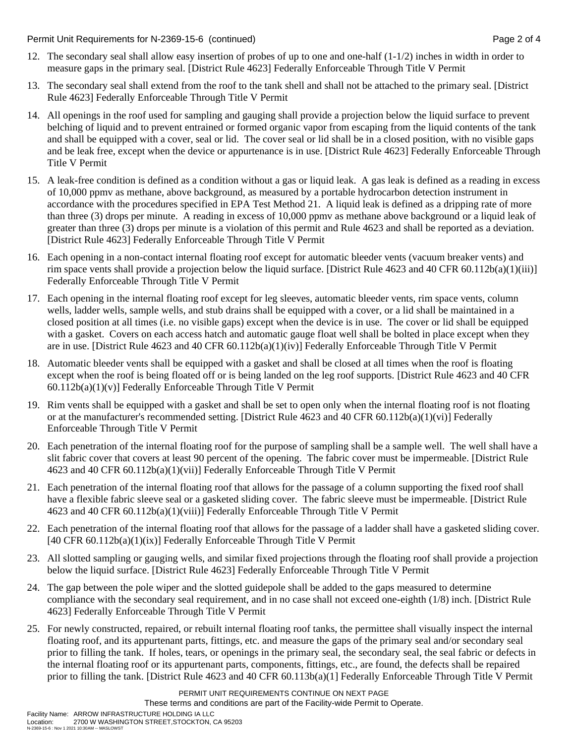Permit Unit Requirements for N-2369-15-6 (continued) **Page 2** of 4

- 12. The secondary seal shall allow easy insertion of probes of up to one and one-half (1-1/2) inches in width in order to measure gaps in the primary seal. [District Rule 4623] Federally Enforceable Through Title V Permit
- 13. The secondary seal shall extend from the roof to the tank shell and shall not be attached to the primary seal. [District Rule 4623] Federally Enforceable Through Title V Permit
- 14. All openings in the roof used for sampling and gauging shall provide a projection below the liquid surface to prevent belching of liquid and to prevent entrained or formed organic vapor from escaping from the liquid contents of the tank and shall be equipped with a cover, seal or lid. The cover seal or lid shall be in a closed position, with no visible gaps and be leak free, except when the device or appurtenance is in use. [District Rule 4623] Federally Enforceable Through Title V Permit
- 15. A leak-free condition is defined as a condition without a gas or liquid leak. A gas leak is defined as a reading in excess of 10,000 ppmv as methane, above background, as measured by a portable hydrocarbon detection instrument in accordance with the procedures specified in EPA Test Method 21. A liquid leak is defined as a dripping rate of more than three (3) drops per minute. A reading in excess of 10,000 ppmv as methane above background or a liquid leak of greater than three (3) drops per minute is a violation of this permit and Rule 4623 and shall be reported as a deviation. [District Rule 4623] Federally Enforceable Through Title V Permit
- 16. Each opening in a non-contact internal floating roof except for automatic bleeder vents (vacuum breaker vents) and rim space vents shall provide a projection below the liquid surface. [District Rule 4623 and 40 CFR 60.112b(a)(1)(iii)] Federally Enforceable Through Title V Permit
- 17. Each opening in the internal floating roof except for leg sleeves, automatic bleeder vents, rim space vents, column wells, ladder wells, sample wells, and stub drains shall be equipped with a cover, or a lid shall be maintained in a closed position at all times (i.e. no visible gaps) except when the device is in use. The cover or lid shall be equipped with a gasket. Covers on each access hatch and automatic gauge float well shall be bolted in place except when they are in use. [District Rule 4623 and 40 CFR 60.112b(a)(1)(iv)] Federally Enforceable Through Title V Permit
- 18. Automatic bleeder vents shall be equipped with a gasket and shall be closed at all times when the roof is floating except when the roof is being floated off or is being landed on the leg roof supports. [District Rule 4623 and 40 CFR  $60.112b(a)(1)(v)$ ] Federally Enforceable Through Title V Permit
- 19. Rim vents shall be equipped with a gasket and shall be set to open only when the internal floating roof is not floating or at the manufacturer's recommended setting. [District Rule 4623 and 40 CFR 60.112b(a)(1)(vi)] Federally Enforceable Through Title V Permit
- 20. Each penetration of the internal floating roof for the purpose of sampling shall be a sample well. The well shall have a slit fabric cover that covers at least 90 percent of the opening. The fabric cover must be impermeable. [District Rule 4623 and 40 CFR 60.112b(a)(1)(vii)] Federally Enforceable Through Title V Permit
- 21. Each penetration of the internal floating roof that allows for the passage of a column supporting the fixed roof shall have a flexible fabric sleeve seal or a gasketed sliding cover. The fabric sleeve must be impermeable. [District Rule 4623 and 40 CFR 60.112b(a)(1)(viii)] Federally Enforceable Through Title V Permit
- 22. Each penetration of the internal floating roof that allows for the passage of a ladder shall have a gasketed sliding cover. [40 CFR 60.112b(a)(1)(ix)] Federally Enforceable Through Title V Permit
- 23. All slotted sampling or gauging wells, and similar fixed projections through the floating roof shall provide a projection below the liquid surface. [District Rule 4623] Federally Enforceable Through Title V Permit
- 24. The gap between the pole wiper and the slotted guidepole shall be added to the gaps measured to determine compliance with the secondary seal requirement, and in no case shall not exceed one-eighth (1/8) inch. [District Rule 4623] Federally Enforceable Through Title V Permit
- 25. For newly constructed, repaired, or rebuilt internal floating roof tanks, the permittee shall visually inspect the internal floating roof, and its appurtenant parts, fittings, etc. and measure the gaps of the primary seal and/or secondary seal prior to filling the tank. If holes, tears, or openings in the primary seal, the secondary seal, the seal fabric or defects in the internal floating roof or its appurtenant parts, components, fittings, etc., are found, the defects shall be repaired prior to filling the tank. [District Rule 4623 and 40 CFR 60.113b(a)(1] Federally Enforceable Through Title V Permit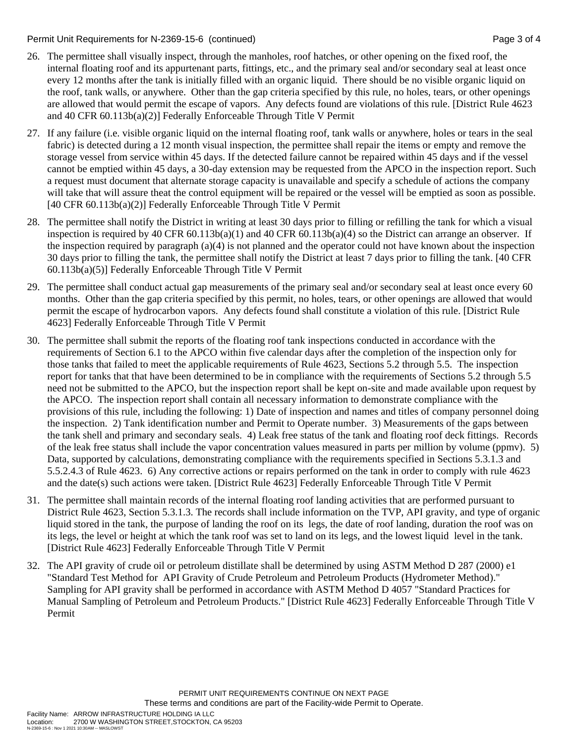#### Permit Unit Requirements for N-2369-15-6 (continued) **Page 3 of 4** Page 3 of 4

- 26. The permittee shall visually inspect, through the manholes, roof hatches, or other opening on the fixed roof, the internal floating roof and its appurtenant parts, fittings, etc., and the primary seal and/or secondary seal at least once every 12 months after the tank is initially filled with an organic liquid. There should be no visible organic liquid on the roof, tank walls, or anywhere. Other than the gap criteria specified by this rule, no holes, tears, or other openings are allowed that would permit the escape of vapors. Any defects found are violations of this rule. [District Rule 4623 and 40 CFR 60.113b(a)(2)] Federally Enforceable Through Title V Permit
- 27. If any failure (i.e. visible organic liquid on the internal floating roof, tank walls or anywhere, holes or tears in the seal fabric) is detected during a 12 month visual inspection, the permittee shall repair the items or empty and remove the storage vessel from service within 45 days. If the detected failure cannot be repaired within 45 days and if the vessel cannot be emptied within 45 days, a 30-day extension may be requested from the APCO in the inspection report. Such a request must document that alternate storage capacity is unavailable and specify a schedule of actions the company will take that will assure theat the control equipment will be repaired or the vessel will be emptied as soon as possible. [40 CFR 60.113b(a)(2)] Federally Enforceable Through Title V Permit
- 28. The permittee shall notify the District in writing at least 30 days prior to filling or refilling the tank for which a visual inspection is required by 40 CFR 60.113b(a)(1) and 40 CFR 60.113b(a)(4) so the District can arrange an observer. If the inspection required by paragraph (a)(4) is not planned and the operator could not have known about the inspection 30 days prior to filling the tank, the permittee shall notify the District at least 7 days prior to filling the tank. [40 CFR 60.113b(a)(5)] Federally Enforceable Through Title V Permit
- 29. The permittee shall conduct actual gap measurements of the primary seal and/or secondary seal at least once every 60 months. Other than the gap criteria specified by this permit, no holes, tears, or other openings are allowed that would permit the escape of hydrocarbon vapors. Any defects found shall constitute a violation of this rule. [District Rule 4623] Federally Enforceable Through Title V Permit
- 30. The permittee shall submit the reports of the floating roof tank inspections conducted in accordance with the requirements of Section 6.1 to the APCO within five calendar days after the completion of the inspection only for those tanks that failed to meet the applicable requirements of Rule 4623, Sections 5.2 through 5.5. The inspection report for tanks that that have been determined to be in compliance with the requirements of Sections 5.2 through 5.5 need not be submitted to the APCO, but the inspection report shall be kept on-site and made available upon request by the APCO. The inspection report shall contain all necessary information to demonstrate compliance with the provisions of this rule, including the following: 1) Date of inspection and names and titles of company personnel doing the inspection. 2) Tank identification number and Permit to Operate number. 3) Measurements of the gaps between the tank shell and primary and secondary seals. 4) Leak free status of the tank and floating roof deck fittings. Records of the leak free status shall include the vapor concentration values measured in parts per million by volume (ppmv). 5) Data, supported by calculations, demonstrating compliance with the requirements specified in Sections 5.3.1.3 and 5.5.2.4.3 of Rule 4623. 6) Any corrective actions or repairs performed on the tank in order to comply with rule 4623 and the date(s) such actions were taken. [District Rule 4623] Federally Enforceable Through Title V Permit
- 31. The permittee shall maintain records of the internal floating roof landing activities that are performed pursuant to District Rule 4623, Section 5.3.1.3. The records shall include information on the TVP, API gravity, and type of organic liquid stored in the tank, the purpose of landing the roof on its legs, the date of roof landing, duration the roof was on its legs, the level or height at which the tank roof was set to land on its legs, and the lowest liquid level in the tank. [District Rule 4623] Federally Enforceable Through Title V Permit
- 32. The API gravity of crude oil or petroleum distillate shall be determined by using ASTM Method D 287 (2000) e1 "Standard Test Method for API Gravity of Crude Petroleum and Petroleum Products (Hydrometer Method)." Sampling for API gravity shall be performed in accordance with ASTM Method D 4057 "Standard Practices for Manual Sampling of Petroleum and Petroleum Products." [District Rule 4623] Federally Enforceable Through Title V Permit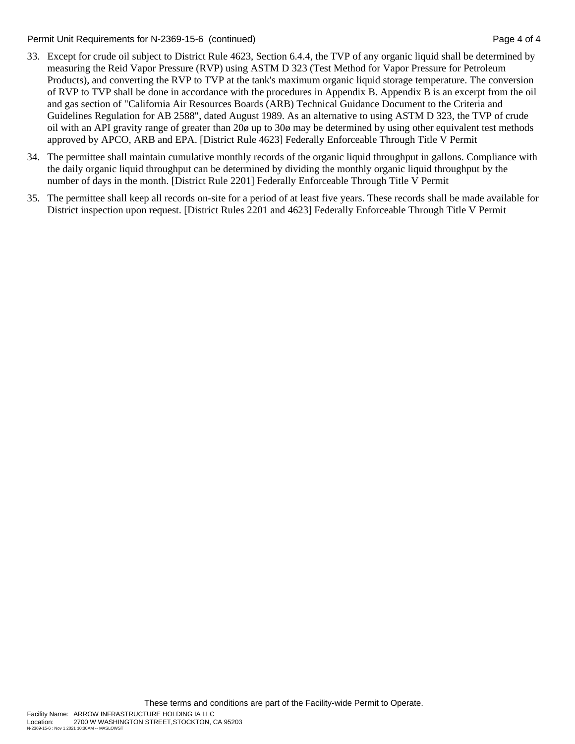Permit Unit Requirements for N-2369-15-6 (continued) **Page 4 of 4** and 2011 **Page 4 of 4** and 2012

- 33. Except for crude oil subject to District Rule 4623, Section 6.4.4, the TVP of any organic liquid shall be determined by measuring the Reid Vapor Pressure (RVP) using ASTM D 323 (Test Method for Vapor Pressure for Petroleum Products), and converting the RVP to TVP at the tank's maximum organic liquid storage temperature. The conversion of RVP to TVP shall be done in accordance with the procedures in Appendix B. Appendix B is an excerpt from the oil and gas section of "California Air Resources Boards (ARB) Technical Guidance Document to the Criteria and Guidelines Regulation for AB 2588", dated August 1989. As an alternative to using ASTM D 323, the TVP of crude oil with an API gravity range of greater than 20ø up to 30ø may be determined by using other equivalent test methods approved by APCO, ARB and EPA. [District Rule 4623] Federally Enforceable Through Title V Permit
- 34. The permittee shall maintain cumulative monthly records of the organic liquid throughput in gallons. Compliance with the daily organic liquid throughput can be determined by dividing the monthly organic liquid throughput by the number of days in the month. [District Rule 2201] Federally Enforceable Through Title V Permit
- 35. The permittee shall keep all records on-site for a period of at least five years. These records shall be made available for District inspection upon request. [District Rules 2201 and 4623] Federally Enforceable Through Title V Permit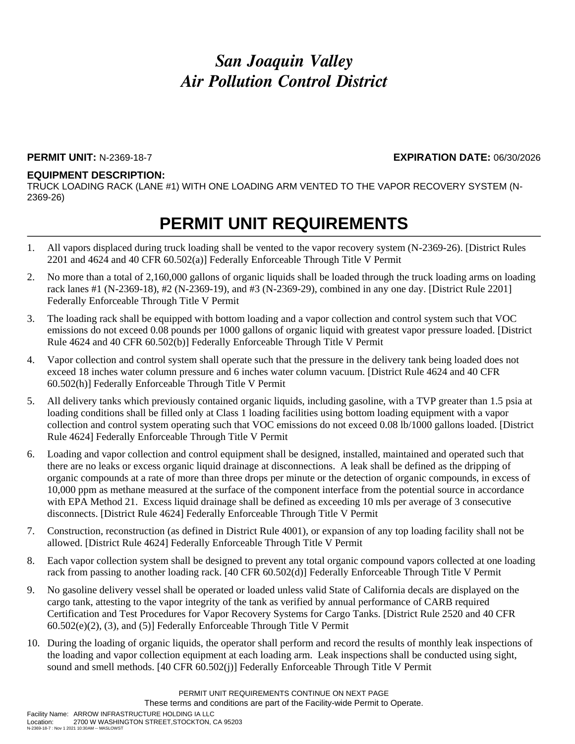### **PERMIT UNIT:** N-2369-18-7 **EXPIRATION DATE:** 06/30/2026

### **EQUIPMENT DESCRIPTION:**

TRUCK LOADING RACK (LANE #1) WITH ONE LOADING ARM VENTED TO THE VAPOR RECOVERY SYSTEM (N-2369-26)

- 1. All vapors displaced during truck loading shall be vented to the vapor recovery system (N-2369-26). [District Rules 2201 and 4624 and 40 CFR 60.502(a)] Federally Enforceable Through Title V Permit
- 2. No more than a total of 2,160,000 gallons of organic liquids shall be loaded through the truck loading arms on loading rack lanes #1 (N-2369-18), #2 (N-2369-19), and #3 (N-2369-29), combined in any one day. [District Rule 2201] Federally Enforceable Through Title V Permit
- 3. The loading rack shall be equipped with bottom loading and a vapor collection and control system such that VOC emissions do not exceed 0.08 pounds per 1000 gallons of organic liquid with greatest vapor pressure loaded. [District Rule 4624 and 40 CFR 60.502(b)] Federally Enforceable Through Title V Permit
- 4. Vapor collection and control system shall operate such that the pressure in the delivery tank being loaded does not exceed 18 inches water column pressure and 6 inches water column vacuum. [District Rule 4624 and 40 CFR 60.502(h)] Federally Enforceable Through Title V Permit
- 5. All delivery tanks which previously contained organic liquids, including gasoline, with a TVP greater than 1.5 psia at loading conditions shall be filled only at Class 1 loading facilities using bottom loading equipment with a vapor collection and control system operating such that VOC emissions do not exceed 0.08 lb/1000 gallons loaded. [District Rule 4624] Federally Enforceable Through Title V Permit
- 6. Loading and vapor collection and control equipment shall be designed, installed, maintained and operated such that there are no leaks or excess organic liquid drainage at disconnections. A leak shall be defined as the dripping of organic compounds at a rate of more than three drops per minute or the detection of organic compounds, in excess of 10,000 ppm as methane measured at the surface of the component interface from the potential source in accordance with EPA Method 21. Excess liquid drainage shall be defined as exceeding 10 mls per average of 3 consecutive disconnects. [District Rule 4624] Federally Enforceable Through Title V Permit
- 7. Construction, reconstruction (as defined in District Rule 4001), or expansion of any top loading facility shall not be allowed. [District Rule 4624] Federally Enforceable Through Title V Permit
- 8. Each vapor collection system shall be designed to prevent any total organic compound vapors collected at one loading rack from passing to another loading rack. [40 CFR 60.502(d)] Federally Enforceable Through Title V Permit
- 9. No gasoline delivery vessel shall be operated or loaded unless valid State of California decals are displayed on the cargo tank, attesting to the vapor integrity of the tank as verified by annual performance of CARB required Certification and Test Procedures for Vapor Recovery Systems for Cargo Tanks. [District Rule 2520 and 40 CFR 60.502(e)(2), (3), and (5)] Federally Enforceable Through Title V Permit
- 10. During the loading of organic liquids, the operator shall perform and record the results of monthly leak inspections of the loading and vapor collection equipment at each loading arm. Leak inspections shall be conducted using sight, sound and smell methods. [40 CFR 60.502(j)] Federally Enforceable Through Title V Permit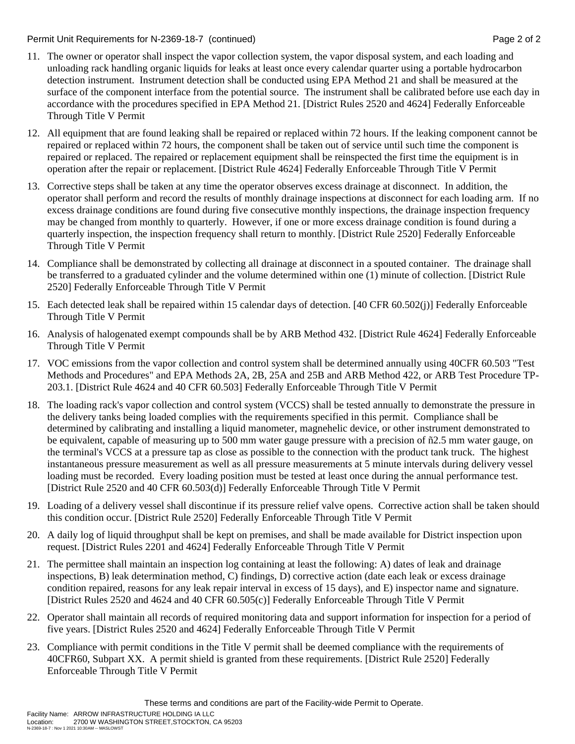### Permit Unit Requirements for N-2369-18-7 (continued) **Page 2** of 2

- 11. The owner or operator shall inspect the vapor collection system, the vapor disposal system, and each loading and unloading rack handling organic liquids for leaks at least once every calendar quarter using a portable hydrocarbon detection instrument. Instrument detection shall be conducted using EPA Method 21 and shall be measured at the surface of the component interface from the potential source. The instrument shall be calibrated before use each day in accordance with the procedures specified in EPA Method 21. [District Rules 2520 and 4624] Federally Enforceable Through Title V Permit
- 12. All equipment that are found leaking shall be repaired or replaced within 72 hours. If the leaking component cannot be repaired or replaced within 72 hours, the component shall be taken out of service until such time the component is repaired or replaced. The repaired or replacement equipment shall be reinspected the first time the equipment is in operation after the repair or replacement. [District Rule 4624] Federally Enforceable Through Title V Permit
- 13. Corrective steps shall be taken at any time the operator observes excess drainage at disconnect. In addition, the operator shall perform and record the results of monthly drainage inspections at disconnect for each loading arm. If no excess drainage conditions are found during five consecutive monthly inspections, the drainage inspection frequency may be changed from monthly to quarterly. However, if one or more excess drainage condition is found during a quarterly inspection, the inspection frequency shall return to monthly. [District Rule 2520] Federally Enforceable Through Title V Permit
- 14. Compliance shall be demonstrated by collecting all drainage at disconnect in a spouted container. The drainage shall be transferred to a graduated cylinder and the volume determined within one (1) minute of collection. [District Rule 2520] Federally Enforceable Through Title V Permit
- 15. Each detected leak shall be repaired within 15 calendar days of detection. [40 CFR 60.502(j)] Federally Enforceable Through Title V Permit
- 16. Analysis of halogenated exempt compounds shall be by ARB Method 432. [District Rule 4624] Federally Enforceable Through Title V Permit
- 17. VOC emissions from the vapor collection and control system shall be determined annually using 40CFR 60.503 "Test Methods and Procedures" and EPA Methods 2A, 2B, 25A and 25B and ARB Method 422, or ARB Test Procedure TP-203.1. [District Rule 4624 and 40 CFR 60.503] Federally Enforceable Through Title V Permit
- 18. The loading rack's vapor collection and control system (VCCS) shall be tested annually to demonstrate the pressure in the delivery tanks being loaded complies with the requirements specified in this permit. Compliance shall be determined by calibrating and installing a liquid manometer, magnehelic device, or other instrument demonstrated to be equivalent, capable of measuring up to 500 mm water gauge pressure with a precision of ñ2.5 mm water gauge, on the terminal's VCCS at a pressure tap as close as possible to the connection with the product tank truck. The highest instantaneous pressure measurement as well as all pressure measurements at 5 minute intervals during delivery vessel loading must be recorded. Every loading position must be tested at least once during the annual performance test. [District Rule 2520 and 40 CFR 60.503(d)] Federally Enforceable Through Title V Permit
- 19. Loading of a delivery vessel shall discontinue if its pressure relief valve opens. Corrective action shall be taken should this condition occur. [District Rule 2520] Federally Enforceable Through Title V Permit
- 20. A daily log of liquid throughput shall be kept on premises, and shall be made available for District inspection upon request. [District Rules 2201 and 4624] Federally Enforceable Through Title V Permit
- 21. The permittee shall maintain an inspection log containing at least the following: A) dates of leak and drainage inspections, B) leak determination method, C) findings, D) corrective action (date each leak or excess drainage condition repaired, reasons for any leak repair interval in excess of 15 days), and E) inspector name and signature. [District Rules 2520 and 4624 and 40 CFR 60.505(c)] Federally Enforceable Through Title V Permit
- 22. Operator shall maintain all records of required monitoring data and support information for inspection for a period of five years. [District Rules 2520 and 4624] Federally Enforceable Through Title V Permit
- 23. Compliance with permit conditions in the Title V permit shall be deemed compliance with the requirements of 40CFR60, Subpart XX. A permit shield is granted from these requirements. [District Rule 2520] Federally Enforceable Through Title V Permit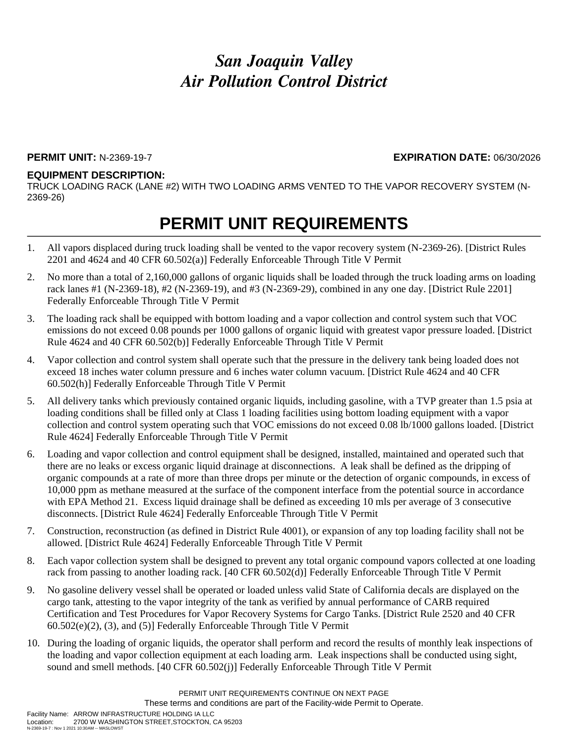### **PERMIT UNIT:** N-2369-19-7 **EXPIRATION DATE:** 06/30/2026

### **EQUIPMENT DESCRIPTION:**

TRUCK LOADING RACK (LANE #2) WITH TWO LOADING ARMS VENTED TO THE VAPOR RECOVERY SYSTEM (N-2369-26)

- 1. All vapors displaced during truck loading shall be vented to the vapor recovery system (N-2369-26). [District Rules 2201 and 4624 and 40 CFR 60.502(a)] Federally Enforceable Through Title V Permit
- 2. No more than a total of 2,160,000 gallons of organic liquids shall be loaded through the truck loading arms on loading rack lanes #1 (N-2369-18), #2 (N-2369-19), and #3 (N-2369-29), combined in any one day. [District Rule 2201] Federally Enforceable Through Title V Permit
- 3. The loading rack shall be equipped with bottom loading and a vapor collection and control system such that VOC emissions do not exceed 0.08 pounds per 1000 gallons of organic liquid with greatest vapor pressure loaded. [District Rule 4624 and 40 CFR 60.502(b)] Federally Enforceable Through Title V Permit
- 4. Vapor collection and control system shall operate such that the pressure in the delivery tank being loaded does not exceed 18 inches water column pressure and 6 inches water column vacuum. [District Rule 4624 and 40 CFR 60.502(h)] Federally Enforceable Through Title V Permit
- 5. All delivery tanks which previously contained organic liquids, including gasoline, with a TVP greater than 1.5 psia at loading conditions shall be filled only at Class 1 loading facilities using bottom loading equipment with a vapor collection and control system operating such that VOC emissions do not exceed 0.08 lb/1000 gallons loaded. [District Rule 4624] Federally Enforceable Through Title V Permit
- 6. Loading and vapor collection and control equipment shall be designed, installed, maintained and operated such that there are no leaks or excess organic liquid drainage at disconnections. A leak shall be defined as the dripping of organic compounds at a rate of more than three drops per minute or the detection of organic compounds, in excess of 10,000 ppm as methane measured at the surface of the component interface from the potential source in accordance with EPA Method 21. Excess liquid drainage shall be defined as exceeding 10 mls per average of 3 consecutive disconnects. [District Rule 4624] Federally Enforceable Through Title V Permit
- 7. Construction, reconstruction (as defined in District Rule 4001), or expansion of any top loading facility shall not be allowed. [District Rule 4624] Federally Enforceable Through Title V Permit
- 8. Each vapor collection system shall be designed to prevent any total organic compound vapors collected at one loading rack from passing to another loading rack. [40 CFR 60.502(d)] Federally Enforceable Through Title V Permit
- 9. No gasoline delivery vessel shall be operated or loaded unless valid State of California decals are displayed on the cargo tank, attesting to the vapor integrity of the tank as verified by annual performance of CARB required Certification and Test Procedures for Vapor Recovery Systems for Cargo Tanks. [District Rule 2520 and 40 CFR 60.502(e)(2), (3), and (5)] Federally Enforceable Through Title V Permit
- 10. During the loading of organic liquids, the operator shall perform and record the results of monthly leak inspections of the loading and vapor collection equipment at each loading arm. Leak inspections shall be conducted using sight, sound and smell methods. [40 CFR 60.502(j)] Federally Enforceable Through Title V Permit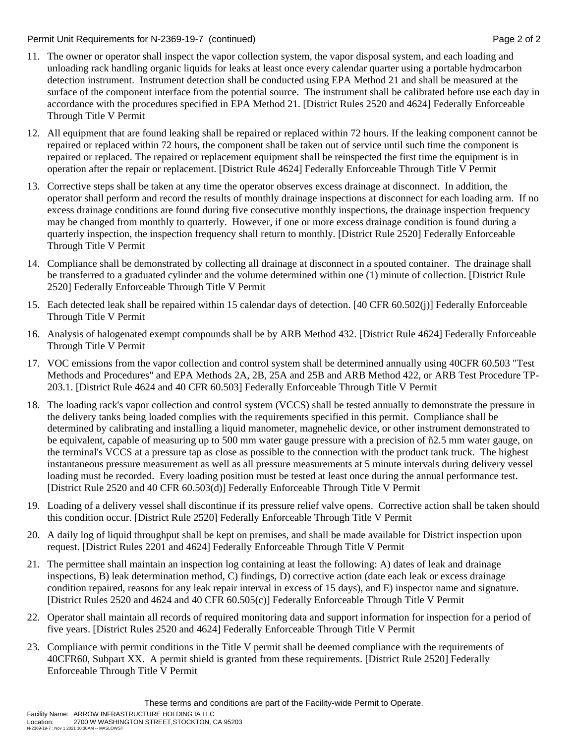### Permit Unit Requirements for N-2369-19-7 (continued) **Page 2** of 2

- 11. The owner or operator shall inspect the vapor collection system, the vapor disposal system, and each loading and unloading rack handling organic liquids for leaks at least once every calendar quarter using a portable hydrocarbon detection instrument. Instrument detection shall be conducted using EPA Method 21 and shall be measured at the surface of the component interface from the potential source. The instrument shall be calibrated before use each day in accordance with the procedures specified in EPA Method 21. [District Rules 2520 and 4624] Federally Enforceable Through Title V Permit
- 12. All equipment that are found leaking shall be repaired or replaced within 72 hours. If the leaking component cannot be repaired or replaced within 72 hours, the component shall be taken out of service until such time the component is repaired or replaced. The repaired or replacement equipment shall be reinspected the first time the equipment is in operation after the repair or replacement. [District Rule 4624] Federally Enforceable Through Title V Permit
- 13. Corrective steps shall be taken at any time the operator observes excess drainage at disconnect. In addition, the operator shall perform and record the results of monthly drainage inspections at disconnect for each loading arm. If no excess drainage conditions are found during five consecutive monthly inspections, the drainage inspection frequency may be changed from monthly to quarterly. However, if one or more excess drainage condition is found during a quarterly inspection, the inspection frequency shall return to monthly. [District Rule 2520] Federally Enforceable Through Title V Permit
- 14. Compliance shall be demonstrated by collecting all drainage at disconnect in a spouted container. The drainage shall be transferred to a graduated cylinder and the volume determined within one (1) minute of collection. [District Rule 2520] Federally Enforceable Through Title V Permit
- 15. Each detected leak shall be repaired within 15 calendar days of detection. [40 CFR 60.502(j)] Federally Enforceable Through Title V Permit
- 16. Analysis of halogenated exempt compounds shall be by ARB Method 432. [District Rule 4624] Federally Enforceable Through Title V Permit
- 17. VOC emissions from the vapor collection and control system shall be determined annually using 40CFR 60.503 "Test Methods and Procedures" and EPA Methods 2A, 2B, 25A and 25B and ARB Method 422, or ARB Test Procedure TP-203.1. [District Rule 4624 and 40 CFR 60.503] Federally Enforceable Through Title V Permit
- 18. The loading rack's vapor collection and control system (VCCS) shall be tested annually to demonstrate the pressure in the delivery tanks being loaded complies with the requirements specified in this permit. Compliance shall be determined by calibrating and installing a liquid manometer, magnehelic device, or other instrument demonstrated to be equivalent, capable of measuring up to 500 mm water gauge pressure with a precision of ñ2.5 mm water gauge, on the terminal's VCCS at a pressure tap as close as possible to the connection with the product tank truck. The highest instantaneous pressure measurement as well as all pressure measurements at 5 minute intervals during delivery vessel loading must be recorded. Every loading position must be tested at least once during the annual performance test. [District Rule 2520 and 40 CFR 60.503(d)] Federally Enforceable Through Title V Permit
- 19. Loading of a delivery vessel shall discontinue if its pressure relief valve opens. Corrective action shall be taken should this condition occur. [District Rule 2520] Federally Enforceable Through Title V Permit
- 20. A daily log of liquid throughput shall be kept on premises, and shall be made available for District inspection upon request. [District Rules 2201 and 4624] Federally Enforceable Through Title V Permit
- 21. The permittee shall maintain an inspection log containing at least the following: A) dates of leak and drainage inspections, B) leak determination method, C) findings, D) corrective action (date each leak or excess drainage condition repaired, reasons for any leak repair interval in excess of 15 days), and E) inspector name and signature. [District Rules 2520 and 4624 and 40 CFR 60.505(c)] Federally Enforceable Through Title V Permit
- 22. Operator shall maintain all records of required monitoring data and support information for inspection for a period of five years. [District Rules 2520 and 4624] Federally Enforceable Through Title V Permit
- 23. Compliance with permit conditions in the Title V permit shall be deemed compliance with the requirements of 40CFR60, Subpart XX. A permit shield is granted from these requirements. [District Rule 2520] Federally Enforceable Through Title V Permit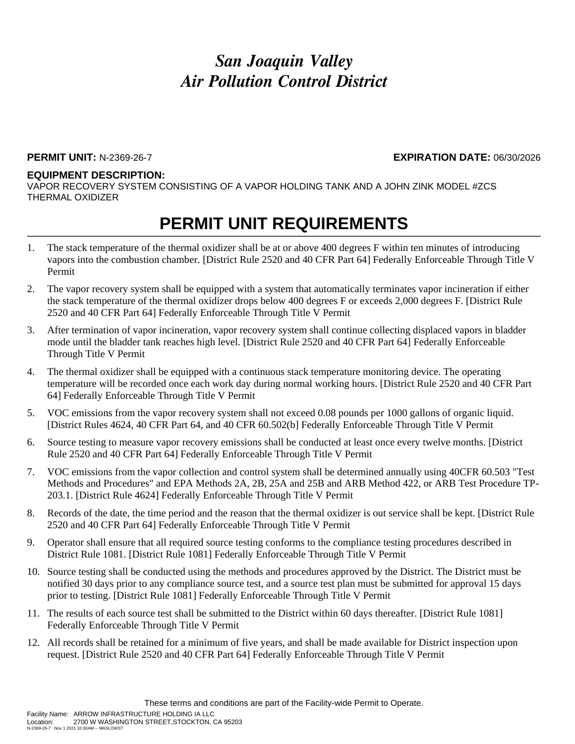#### **PERMIT UNIT:** N-2369-26-7 **EXPIRATION DATE:** 06/30/2026

#### **EQUIPMENT DESCRIPTION:**

VAPOR RECOVERY SYSTEM CONSISTING OF A VAPOR HOLDING TANK AND A JOHN ZINK MODEL #ZCS THERMAL OXIDIZER

- 1. The stack temperature of the thermal oxidizer shall be at or above 400 degrees F within ten minutes of introducing vapors into the combustion chamber. [District Rule 2520 and 40 CFR Part 64] Federally Enforceable Through Title V Permit
- 2. The vapor recovery system shall be equipped with a system that automatically terminates vapor incineration if either the stack temperature of the thermal oxidizer drops below 400 degrees F or exceeds 2,000 degrees F. [District Rule 2520 and 40 CFR Part 64] Federally Enforceable Through Title V Permit
- 3. After termination of vapor incineration, vapor recovery system shall continue collecting displaced vapors in bladder mode until the bladder tank reaches high level. [District Rule 2520 and 40 CFR Part 64] Federally Enforceable Through Title V Permit
- 4. The thermal oxidizer shall be equipped with a continuous stack temperature monitoring device. The operating temperature will be recorded once each work day during normal working hours. [District Rule 2520 and 40 CFR Part 64] Federally Enforceable Through Title V Permit
- 5. VOC emissions from the vapor recovery system shall not exceed 0.08 pounds per 1000 gallons of organic liquid. [District Rules 4624, 40 CFR Part 64, and 40 CFR 60.502(b] Federally Enforceable Through Title V Permit
- 6. Source testing to measure vapor recovery emissions shall be conducted at least once every twelve months. [District Rule 2520 and 40 CFR Part 64] Federally Enforceable Through Title V Permit
- 7. VOC emissions from the vapor collection and control system shall be determined annually using 40CFR 60.503 "Test Methods and Procedures" and EPA Methods 2A, 2B, 25A and 25B and ARB Method 422, or ARB Test Procedure TP-203.1. [District Rule 4624] Federally Enforceable Through Title V Permit
- 8. Records of the date, the time period and the reason that the thermal oxidizer is out service shall be kept. [District Rule 2520 and 40 CFR Part 64] Federally Enforceable Through Title V Permit
- 9. Operator shall ensure that all required source testing conforms to the compliance testing procedures described in District Rule 1081. [District Rule 1081] Federally Enforceable Through Title V Permit
- 10. Source testing shall be conducted using the methods and procedures approved by the District. The District must be notified 30 days prior to any compliance source test, and a source test plan must be submitted for approval 15 days prior to testing. [District Rule 1081] Federally Enforceable Through Title V Permit
- 11. The results of each source test shall be submitted to the District within 60 days thereafter. [District Rule 1081] Federally Enforceable Through Title V Permit
- 12. All records shall be retained for a minimum of five years, and shall be made available for District inspection upon request. [District Rule 2520 and 40 CFR Part 64] Federally Enforceable Through Title V Permit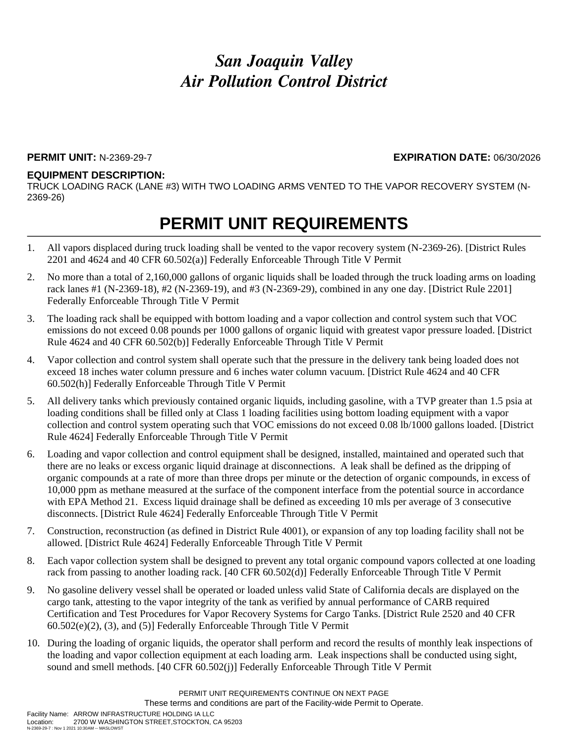### **PERMIT UNIT:** N-2369-29-7 **EXPIRATION DATE:** 06/30/2026

### **EQUIPMENT DESCRIPTION:**

TRUCK LOADING RACK (LANE #3) WITH TWO LOADING ARMS VENTED TO THE VAPOR RECOVERY SYSTEM (N-2369-26)

- 1. All vapors displaced during truck loading shall be vented to the vapor recovery system (N-2369-26). [District Rules 2201 and 4624 and 40 CFR 60.502(a)] Federally Enforceable Through Title V Permit
- 2. No more than a total of 2,160,000 gallons of organic liquids shall be loaded through the truck loading arms on loading rack lanes #1 (N-2369-18), #2 (N-2369-19), and #3 (N-2369-29), combined in any one day. [District Rule 2201] Federally Enforceable Through Title V Permit
- 3. The loading rack shall be equipped with bottom loading and a vapor collection and control system such that VOC emissions do not exceed 0.08 pounds per 1000 gallons of organic liquid with greatest vapor pressure loaded. [District Rule 4624 and 40 CFR 60.502(b)] Federally Enforceable Through Title V Permit
- 4. Vapor collection and control system shall operate such that the pressure in the delivery tank being loaded does not exceed 18 inches water column pressure and 6 inches water column vacuum. [District Rule 4624 and 40 CFR 60.502(h)] Federally Enforceable Through Title V Permit
- 5. All delivery tanks which previously contained organic liquids, including gasoline, with a TVP greater than 1.5 psia at loading conditions shall be filled only at Class 1 loading facilities using bottom loading equipment with a vapor collection and control system operating such that VOC emissions do not exceed 0.08 lb/1000 gallons loaded. [District Rule 4624] Federally Enforceable Through Title V Permit
- 6. Loading and vapor collection and control equipment shall be designed, installed, maintained and operated such that there are no leaks or excess organic liquid drainage at disconnections. A leak shall be defined as the dripping of organic compounds at a rate of more than three drops per minute or the detection of organic compounds, in excess of 10,000 ppm as methane measured at the surface of the component interface from the potential source in accordance with EPA Method 21. Excess liquid drainage shall be defined as exceeding 10 mls per average of 3 consecutive disconnects. [District Rule 4624] Federally Enforceable Through Title V Permit
- 7. Construction, reconstruction (as defined in District Rule 4001), or expansion of any top loading facility shall not be allowed. [District Rule 4624] Federally Enforceable Through Title V Permit
- 8. Each vapor collection system shall be designed to prevent any total organic compound vapors collected at one loading rack from passing to another loading rack. [40 CFR 60.502(d)] Federally Enforceable Through Title V Permit
- 9. No gasoline delivery vessel shall be operated or loaded unless valid State of California decals are displayed on the cargo tank, attesting to the vapor integrity of the tank as verified by annual performance of CARB required Certification and Test Procedures for Vapor Recovery Systems for Cargo Tanks. [District Rule 2520 and 40 CFR 60.502(e)(2), (3), and (5)] Federally Enforceable Through Title V Permit
- 10. During the loading of organic liquids, the operator shall perform and record the results of monthly leak inspections of the loading and vapor collection equipment at each loading arm. Leak inspections shall be conducted using sight, sound and smell methods. [40 CFR 60.502(j)] Federally Enforceable Through Title V Permit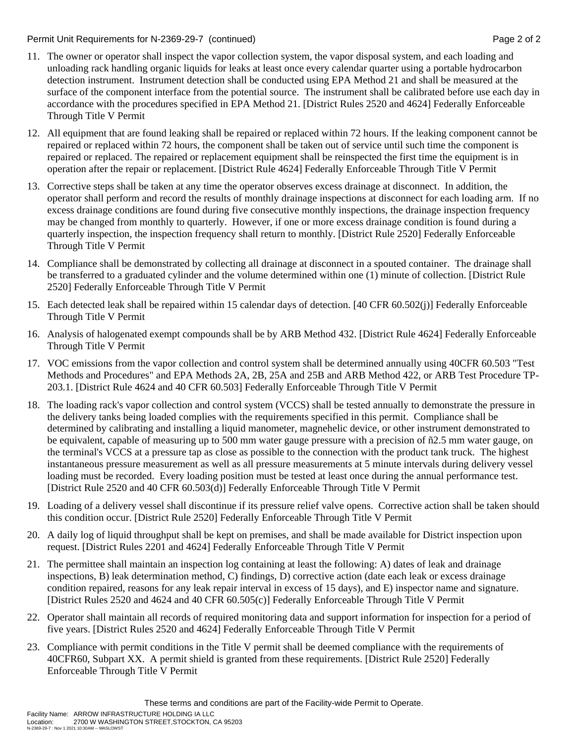### Permit Unit Requirements for N-2369-29-7 (continued) **Page 2** of 2

- 11. The owner or operator shall inspect the vapor collection system, the vapor disposal system, and each loading and unloading rack handling organic liquids for leaks at least once every calendar quarter using a portable hydrocarbon detection instrument. Instrument detection shall be conducted using EPA Method 21 and shall be measured at the surface of the component interface from the potential source. The instrument shall be calibrated before use each day in accordance with the procedures specified in EPA Method 21. [District Rules 2520 and 4624] Federally Enforceable Through Title V Permit
- 12. All equipment that are found leaking shall be repaired or replaced within 72 hours. If the leaking component cannot be repaired or replaced within 72 hours, the component shall be taken out of service until such time the component is repaired or replaced. The repaired or replacement equipment shall be reinspected the first time the equipment is in operation after the repair or replacement. [District Rule 4624] Federally Enforceable Through Title V Permit
- 13. Corrective steps shall be taken at any time the operator observes excess drainage at disconnect. In addition, the operator shall perform and record the results of monthly drainage inspections at disconnect for each loading arm. If no excess drainage conditions are found during five consecutive monthly inspections, the drainage inspection frequency may be changed from monthly to quarterly. However, if one or more excess drainage condition is found during a quarterly inspection, the inspection frequency shall return to monthly. [District Rule 2520] Federally Enforceable Through Title V Permit
- 14. Compliance shall be demonstrated by collecting all drainage at disconnect in a spouted container. The drainage shall be transferred to a graduated cylinder and the volume determined within one (1) minute of collection. [District Rule 2520] Federally Enforceable Through Title V Permit
- 15. Each detected leak shall be repaired within 15 calendar days of detection. [40 CFR 60.502(j)] Federally Enforceable Through Title V Permit
- 16. Analysis of halogenated exempt compounds shall be by ARB Method 432. [District Rule 4624] Federally Enforceable Through Title V Permit
- 17. VOC emissions from the vapor collection and control system shall be determined annually using 40CFR 60.503 "Test Methods and Procedures" and EPA Methods 2A, 2B, 25A and 25B and ARB Method 422, or ARB Test Procedure TP-203.1. [District Rule 4624 and 40 CFR 60.503] Federally Enforceable Through Title V Permit
- 18. The loading rack's vapor collection and control system (VCCS) shall be tested annually to demonstrate the pressure in the delivery tanks being loaded complies with the requirements specified in this permit. Compliance shall be determined by calibrating and installing a liquid manometer, magnehelic device, or other instrument demonstrated to be equivalent, capable of measuring up to 500 mm water gauge pressure with a precision of ñ2.5 mm water gauge, on the terminal's VCCS at a pressure tap as close as possible to the connection with the product tank truck. The highest instantaneous pressure measurement as well as all pressure measurements at 5 minute intervals during delivery vessel loading must be recorded. Every loading position must be tested at least once during the annual performance test. [District Rule 2520 and 40 CFR 60.503(d)] Federally Enforceable Through Title V Permit
- 19. Loading of a delivery vessel shall discontinue if its pressure relief valve opens. Corrective action shall be taken should this condition occur. [District Rule 2520] Federally Enforceable Through Title V Permit
- 20. A daily log of liquid throughput shall be kept on premises, and shall be made available for District inspection upon request. [District Rules 2201 and 4624] Federally Enforceable Through Title V Permit
- 21. The permittee shall maintain an inspection log containing at least the following: A) dates of leak and drainage inspections, B) leak determination method, C) findings, D) corrective action (date each leak or excess drainage condition repaired, reasons for any leak repair interval in excess of 15 days), and E) inspector name and signature. [District Rules 2520 and 4624 and 40 CFR 60.505(c)] Federally Enforceable Through Title V Permit
- 22. Operator shall maintain all records of required monitoring data and support information for inspection for a period of five years. [District Rules 2520 and 4624] Federally Enforceable Through Title V Permit
- 23. Compliance with permit conditions in the Title V permit shall be deemed compliance with the requirements of 40CFR60, Subpart XX. A permit shield is granted from these requirements. [District Rule 2520] Federally Enforceable Through Title V Permit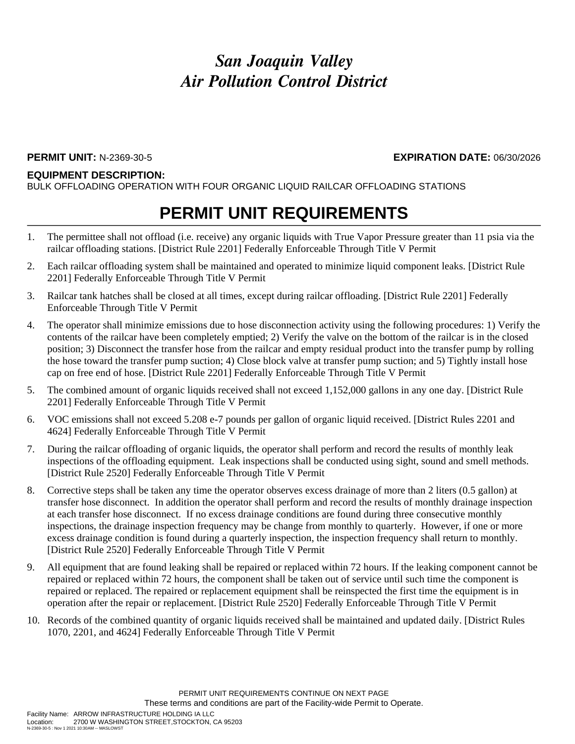### **PERMIT UNIT:** N-2369-30-5 **EXPIRATION DATE:** 06/30/2026

#### **EQUIPMENT DESCRIPTION:**

BULK OFFLOADING OPERATION WITH FOUR ORGANIC LIQUID RAILCAR OFFLOADING STATIONS

- 1. The permittee shall not offload (i.e. receive) any organic liquids with True Vapor Pressure greater than 11 psia via the railcar offloading stations. [District Rule 2201] Federally Enforceable Through Title V Permit
- 2. Each railcar offloading system shall be maintained and operated to minimize liquid component leaks. [District Rule 2201] Federally Enforceable Through Title V Permit
- 3. Railcar tank hatches shall be closed at all times, except during railcar offloading. [District Rule 2201] Federally Enforceable Through Title V Permit
- 4. The operator shall minimize emissions due to hose disconnection activity using the following procedures: 1) Verify the contents of the railcar have been completely emptied; 2) Verify the valve on the bottom of the railcar is in the closed position; 3) Disconnect the transfer hose from the railcar and empty residual product into the transfer pump by rolling the hose toward the transfer pump suction; 4) Close block valve at transfer pump suction; and 5) Tightly install hose cap on free end of hose. [District Rule 2201] Federally Enforceable Through Title V Permit
- 5. The combined amount of organic liquids received shall not exceed 1,152,000 gallons in any one day. [District Rule 2201] Federally Enforceable Through Title V Permit
- 6. VOC emissions shall not exceed 5.208 e-7 pounds per gallon of organic liquid received. [District Rules 2201 and 4624] Federally Enforceable Through Title V Permit
- 7. During the railcar offloading of organic liquids, the operator shall perform and record the results of monthly leak inspections of the offloading equipment. Leak inspections shall be conducted using sight, sound and smell methods. [District Rule 2520] Federally Enforceable Through Title V Permit
- 8. Corrective steps shall be taken any time the operator observes excess drainage of more than 2 liters (0.5 gallon) at transfer hose disconnect. In addition the operator shall perform and record the results of monthly drainage inspection at each transfer hose disconnect. If no excess drainage conditions are found during three consecutive monthly inspections, the drainage inspection frequency may be change from monthly to quarterly. However, if one or more excess drainage condition is found during a quarterly inspection, the inspection frequency shall return to monthly. [District Rule 2520] Federally Enforceable Through Title V Permit
- 9. All equipment that are found leaking shall be repaired or replaced within 72 hours. If the leaking component cannot be repaired or replaced within 72 hours, the component shall be taken out of service until such time the component is repaired or replaced. The repaired or replacement equipment shall be reinspected the first time the equipment is in operation after the repair or replacement. [District Rule 2520] Federally Enforceable Through Title V Permit
- 10. Records of the combined quantity of organic liquids received shall be maintained and updated daily. [District Rules 1070, 2201, and 4624] Federally Enforceable Through Title V Permit